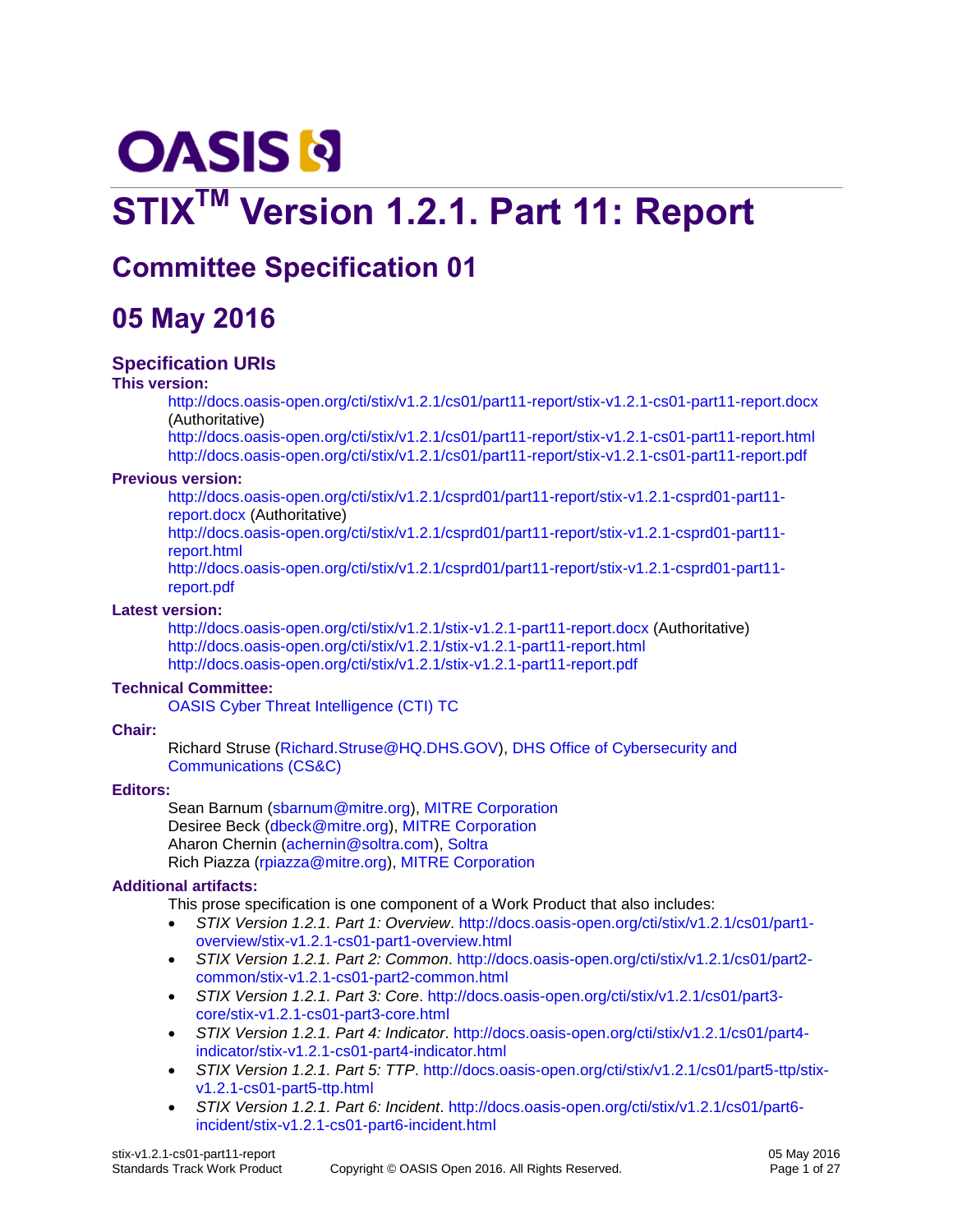# **OASIS N**

# **STIXTM Version 1.2.1. Part 11: Report**

# **Committee Specification 01**

# **05 May 2016**

### **Specification URIs**

#### **This version:**

<http://docs.oasis-open.org/cti/stix/v1.2.1/cs01/part11-report/stix-v1.2.1-cs01-part11-report.docx> (Authoritative)

<http://docs.oasis-open.org/cti/stix/v1.2.1/cs01/part11-report/stix-v1.2.1-cs01-part11-report.html> <http://docs.oasis-open.org/cti/stix/v1.2.1/cs01/part11-report/stix-v1.2.1-cs01-part11-report.pdf>

#### **Previous version:**

[http://docs.oasis-open.org/cti/stix/v1.2.1/csprd01/part11-report/stix-v1.2.1-csprd01-part11](http://docs.oasis-open.org/cti/stix/v1.2.1/csprd01/part11-report/stix-v1.2.1-csprd01-part11-report.docx) [report.docx](http://docs.oasis-open.org/cti/stix/v1.2.1/csprd01/part11-report/stix-v1.2.1-csprd01-part11-report.docx) (Authoritative)

[http://docs.oasis-open.org/cti/stix/v1.2.1/csprd01/part11-report/stix-v1.2.1-csprd01-part11](http://docs.oasis-open.org/cti/stix/v1.2.1/csprd01/part11-report/stix-v1.2.1-csprd01-part11-report.html) [report.html](http://docs.oasis-open.org/cti/stix/v1.2.1/csprd01/part11-report/stix-v1.2.1-csprd01-part11-report.html)

[http://docs.oasis-open.org/cti/stix/v1.2.1/csprd01/part11-report/stix-v1.2.1-csprd01-part11](http://docs.oasis-open.org/cti/stix/v1.2.1/csprd01/part11-report/stix-v1.2.1-csprd01-part11-report.pdf) [report.pdf](http://docs.oasis-open.org/cti/stix/v1.2.1/csprd01/part11-report/stix-v1.2.1-csprd01-part11-report.pdf)

#### <span id="page-0-1"></span>**Latest version:**

<http://docs.oasis-open.org/cti/stix/v1.2.1/stix-v1.2.1-part11-report.docx> (Authoritative) <http://docs.oasis-open.org/cti/stix/v1.2.1/stix-v1.2.1-part11-report.html> <http://docs.oasis-open.org/cti/stix/v1.2.1/stix-v1.2.1-part11-report.pdf>

### **Technical Committee:**

[OASIS Cyber Threat Intelligence \(CTI\) TC](https://www.oasis-open.org/committees/cti/)

### **Chair:**

Richard Struse [\(Richard.Struse@HQ.DHS.GOV\)](mailto:Richard.Struse@HQ.DHS.GOV), [DHS Office of Cybersecurity and](http://www.dhs.gov/office-cybersecurity-and-communications)  [Communications \(CS&C\)](http://www.dhs.gov/office-cybersecurity-and-communications)

### **Editors:**

Sean Barnum [\(sbarnum@mitre.org\)](mailto:sbarnum@mitre.org), [MITRE Corporation](http://www.mitre.org/) Desiree Beck [\(dbeck@mitre.org\)](mailto:dbeck@mitre.org), [MITRE Corporation](http://www.mitre.org/) Aharon Chernin [\(achernin@soltra.com\)](mailto:achernin@soltra.com)[, Soltra](http://www.soltra.com/) Rich Piazza [\(rpiazza@mitre.org\)](mailto:rpiazza@mitre.org), [MITRE Corporation](http://www.mitre.org/)

### <span id="page-0-0"></span>**Additional artifacts:**

This prose specification is one component of a Work Product that also includes:

- *STIX Version 1.2.1. Part 1: Overview*. [http://docs.oasis-open.org/cti/stix/v1.2.1/cs01/part1](http://docs.oasis-open.org/cti/stix/v1.2.1/cs01/part1-overview/stix-v1.2.1-cs01-part1-overview.html) [overview/stix-v1.2.1-cs01-part1-overview.html](http://docs.oasis-open.org/cti/stix/v1.2.1/cs01/part1-overview/stix-v1.2.1-cs01-part1-overview.html)
- *STIX Version 1.2.1. Part 2: Common*. [http://docs.oasis-open.org/cti/stix/v1.2.1/cs01/part2](http://docs.oasis-open.org/cti/stix/v1.2.1/cs01/part2-common/stix-v1.2.1-cs01-part2-common.html) [common/stix-v1.2.1-cs01-part2-common.html](http://docs.oasis-open.org/cti/stix/v1.2.1/cs01/part2-common/stix-v1.2.1-cs01-part2-common.html)
- *STIX Version 1.2.1. Part 3: Core*. [http://docs.oasis-open.org/cti/stix/v1.2.1/cs01/part3](http://docs.oasis-open.org/cti/stix/v1.2.1/cs01/part3-core/stix-v1.2.1-cs01-part3-core.html) [core/stix-v1.2.1-cs01-part3-core.html](http://docs.oasis-open.org/cti/stix/v1.2.1/cs01/part3-core/stix-v1.2.1-cs01-part3-core.html)
- *STIX Version 1.2.1. Part 4: Indicator*. [http://docs.oasis-open.org/cti/stix/v1.2.1/cs01/part4](http://docs.oasis-open.org/cti/stix/v1.2.1/cs01/part4-indicator/stix-v1.2.1-cs01-part4-indicator.html) [indicator/stix-v1.2.1-cs01-part4-indicator.html](http://docs.oasis-open.org/cti/stix/v1.2.1/cs01/part4-indicator/stix-v1.2.1-cs01-part4-indicator.html)
- *STIX Version 1.2.1. Part 5: TTP*. [http://docs.oasis-open.org/cti/stix/v1.2.1/cs01/part5-ttp/stix](http://docs.oasis-open.org/cti/stix/v1.2.1/cs01/part5-ttp/stix-v1.2.1-cs01-part5-ttp.html)[v1.2.1-cs01-part5-ttp.html](http://docs.oasis-open.org/cti/stix/v1.2.1/cs01/part5-ttp/stix-v1.2.1-cs01-part5-ttp.html)
- *STIX Version 1.2.1. Part 6: Incident*. [http://docs.oasis-open.org/cti/stix/v1.2.1/cs01/part6](http://docs.oasis-open.org/cti/stix/v1.2.1/cs01/part6-incident/stix-v1.2.1-cs01-part6-incident.html) [incident/stix-v1.2.1-cs01-part6-incident.html](http://docs.oasis-open.org/cti/stix/v1.2.1/cs01/part6-incident/stix-v1.2.1-cs01-part6-incident.html)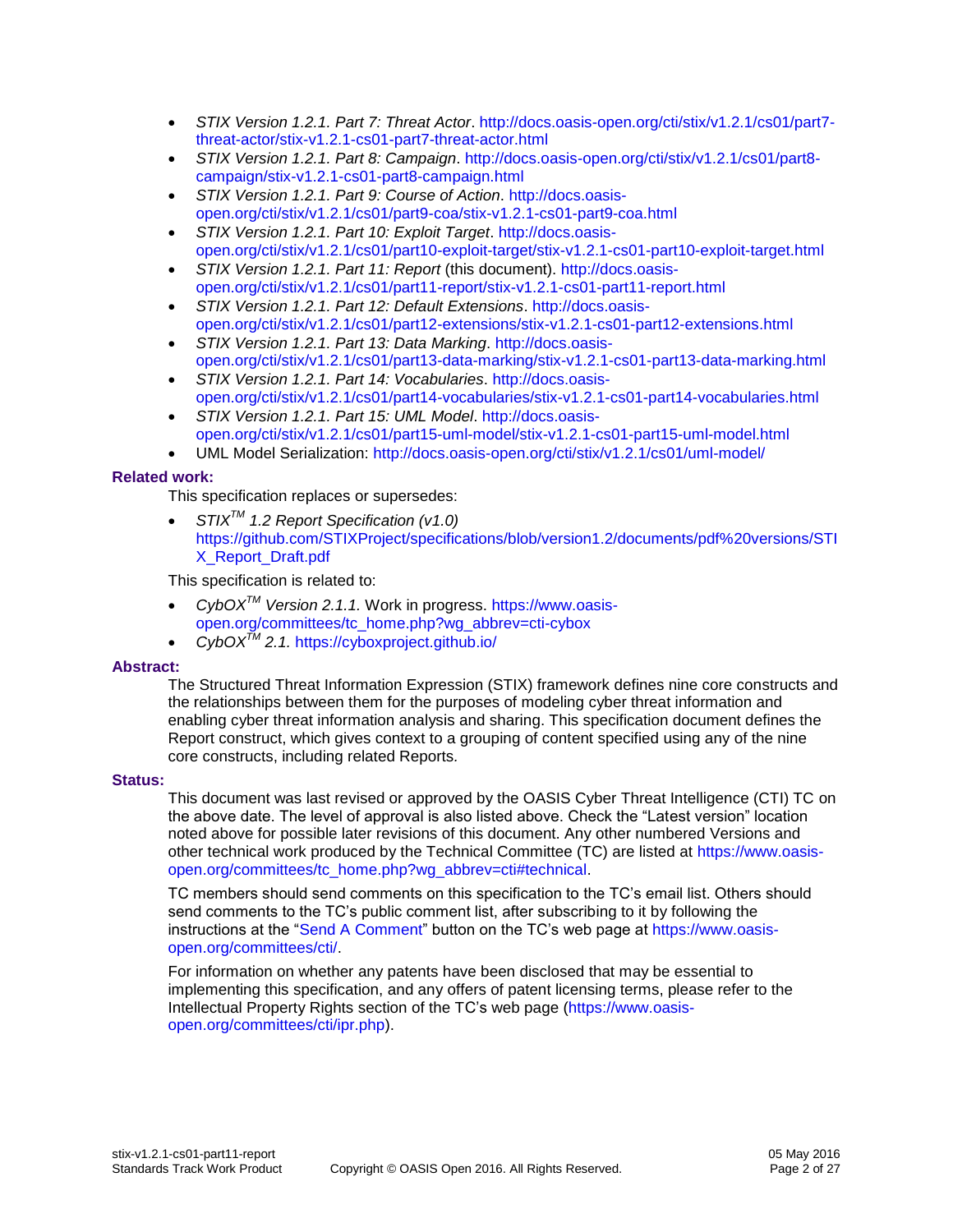- *STIX Version 1.2.1. Part 7: Threat Actor*. [http://docs.oasis-open.org/cti/stix/v1.2.1/cs01/part7](http://docs.oasis-open.org/cti/stix/v1.2.1/cs01/part7-threat-actor/stix-v1.2.1-cs01-part7-threat-actor.html) [threat-actor/stix-v1.2.1-cs01-part7-threat-actor.html](http://docs.oasis-open.org/cti/stix/v1.2.1/cs01/part7-threat-actor/stix-v1.2.1-cs01-part7-threat-actor.html)
- *STIX Version 1.2.1. Part 8: Campaign*. [http://docs.oasis-open.org/cti/stix/v1.2.1/cs01/part8](http://docs.oasis-open.org/cti/stix/v1.2.1/cs01/part8-campaign/stix-v1.2.1-cs01-part8-campaign.html) [campaign/stix-v1.2.1-cs01-part8-campaign.html](http://docs.oasis-open.org/cti/stix/v1.2.1/cs01/part8-campaign/stix-v1.2.1-cs01-part8-campaign.html)
- <span id="page-1-1"></span> *STIX Version 1.2.1. Part 9: Course of Action*. [http://docs.oasis](http://docs.oasis-open.org/cti/stix/v1.2.1/cs01/part9-coa/stix-v1.2.1-cs01-part9-coa.html)[open.org/cti/stix/v1.2.1/cs01/part9-coa/stix-v1.2.1-cs01-part9-coa.html](http://docs.oasis-open.org/cti/stix/v1.2.1/cs01/part9-coa/stix-v1.2.1-cs01-part9-coa.html)
- *STIX Version 1.2.1. Part 10: Exploit Target*. [http://docs.oasis](http://docs.oasis-open.org/cti/stix/v1.2.1/cs01/part10-exploit-target/stix-v1.2.1-cs01-part10-exploit-target.html)[open.org/cti/stix/v1.2.1/cs01/part10-exploit-target/stix-v1.2.1-cs01-part10-exploit-target.html](http://docs.oasis-open.org/cti/stix/v1.2.1/cs01/part10-exploit-target/stix-v1.2.1-cs01-part10-exploit-target.html)
- *STIX Version 1.2.1. Part 11: Report* (this document). [http://docs.oasis](http://docs.oasis-open.org/cti/stix/v1.2.1/cs01/part11-report/stix-v1.2.1-cs01-part11-report.html)[open.org/cti/stix/v1.2.1/cs01/part11-report/stix-v1.2.1-cs01-part11-report.html](http://docs.oasis-open.org/cti/stix/v1.2.1/cs01/part11-report/stix-v1.2.1-cs01-part11-report.html)
- *STIX Version 1.2.1. Part 12: Default Extensions*. [http://docs.oasis](http://docs.oasis-open.org/cti/stix/v1.2.1/cs01/part12-extensions/stix-v1.2.1-cs01-part12-extensions.html)[open.org/cti/stix/v1.2.1/cs01/part12-extensions/stix-v1.2.1-cs01-part12-extensions.html](http://docs.oasis-open.org/cti/stix/v1.2.1/cs01/part12-extensions/stix-v1.2.1-cs01-part12-extensions.html)
- *STIX Version 1.2.1. Part 13: Data Marking*. [http://docs.oasis](http://docs.oasis-open.org/cti/stix/v1.2.1/cs01/part13-data-marking/stix-v1.2.1-cs01-part13-data-marking.html)[open.org/cti/stix/v1.2.1/cs01/part13-data-marking/stix-v1.2.1-cs01-part13-data-marking.html](http://docs.oasis-open.org/cti/stix/v1.2.1/cs01/part13-data-marking/stix-v1.2.1-cs01-part13-data-marking.html)
- *STIX Version 1.2.1. Part 14: Vocabularies*. [http://docs.oasis](http://docs.oasis-open.org/cti/stix/v1.2.1/cs01/part14-vocabularies/stix-v1.2.1-cs01-part14-vocabularies.html)[open.org/cti/stix/v1.2.1/cs01/part14-vocabularies/stix-v1.2.1-cs01-part14-vocabularies.html](http://docs.oasis-open.org/cti/stix/v1.2.1/cs01/part14-vocabularies/stix-v1.2.1-cs01-part14-vocabularies.html)
- *STIX Version 1.2.1. Part 15: UML Model*. [http://docs.oasis](http://docs.oasis-open.org/cti/stix/v1.2.1/cs01/part15-uml-model/stix-v1.2.1-cs01-part15-uml-model.html)[open.org/cti/stix/v1.2.1/cs01/part15-uml-model/stix-v1.2.1-cs01-part15-uml-model.html](http://docs.oasis-open.org/cti/stix/v1.2.1/cs01/part15-uml-model/stix-v1.2.1-cs01-part15-uml-model.html)
- UML Model Serialization:<http://docs.oasis-open.org/cti/stix/v1.2.1/cs01/uml-model/>

#### <span id="page-1-0"></span>**Related work:**

This specification replaces or supersedes:

 *STIXTM 1.2 Report Specification (v1.0)*  [https://github.com/STIXProject/specifications/blob/version1.2/documents/pdf%20versions/STI](https://github.com/STIXProject/specifications/blob/version1.2/documents/pdf%20versions/STIX_Report_Draft.pdf) [X\\_Report\\_Draft.pdf](https://github.com/STIXProject/specifications/blob/version1.2/documents/pdf%20versions/STIX_Report_Draft.pdf)

This specification is related to:

- *CybOXTM Version 2.1.1.* Work in progress. [https://www.oasis](https://www.oasis-open.org/committees/tc_home.php?wg_abbrev=cti-cybox)[open.org/committees/tc\\_home.php?wg\\_abbrev=cti-cybox](https://www.oasis-open.org/committees/tc_home.php?wg_abbrev=cti-cybox)
- *CybOXTM 2.1.* <https://cyboxproject.github.io/>

#### **Abstract:**

The Structured Threat Information Expression (STIX) framework defines nine core constructs and the relationships between them for the purposes of modeling cyber threat information and enabling cyber threat information analysis and sharing. This specification document defines the Report construct, which gives context to a grouping of content specified using any of the nine core constructs, including related Reports*.*

#### **Status:**

This document was last revised or approved by the OASIS Cyber Threat Intelligence (CTI) TC on the above date. The level of approval is also listed above. Check the "Latest version" location noted above for possible later revisions of this document. Any other numbered Versions and other technical work produced by the Technical Committee (TC) are listed at [https://www.oasis](https://www.oasis-open.org/committees/tc_home.php?wg_abbrev=cti#technical)[open.org/committees/tc\\_home.php?wg\\_abbrev=cti#technical.](https://www.oasis-open.org/committees/tc_home.php?wg_abbrev=cti#technical)

TC members should send comments on this specification to the TC's email list. Others should send comments to the TC's public comment list, after subscribing to it by following the instructions at the ["Send A Comment"](https://www.oasis-open.org/committees/comments/index.php?wg_abbrev=cti) button on the TC's web page at [https://www.oasis](https://www.oasis-open.org/committees/cti/)[open.org/committees/cti/.](https://www.oasis-open.org/committees/cti/)

For information on whether any patents have been disclosed that may be essential to implementing this specification, and any offers of patent licensing terms, please refer to the Intellectual Property Rights section of the TC's web page [\(https://www.oasis](https://www.oasis-open.org/committees/cti/ipr.php)[open.org/committees/cti/ipr.php\)](https://www.oasis-open.org/committees/cti/ipr.php).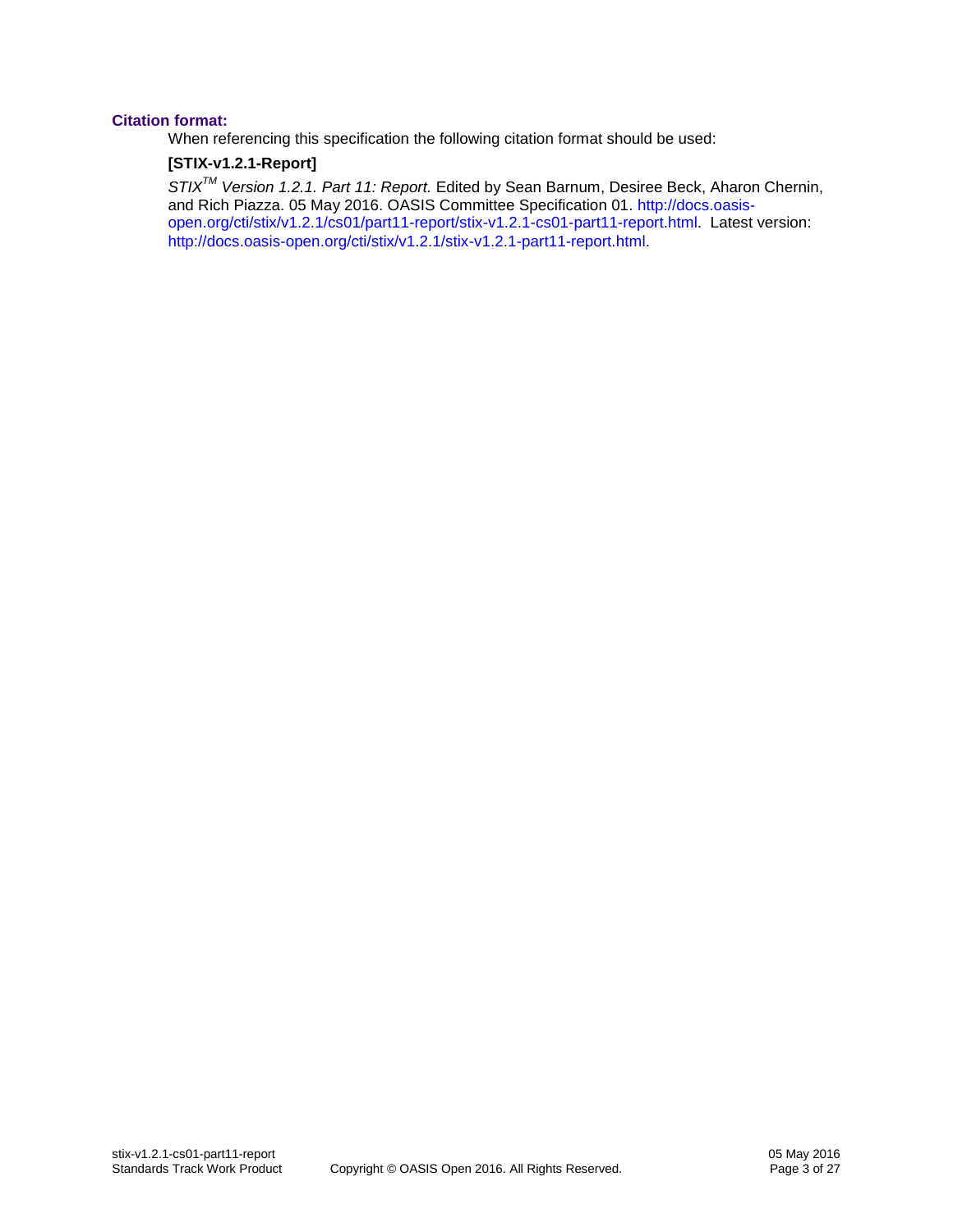#### **Citation format:**

When referencing this specification the following citation format should be used:

### **[STIX-v1.2.1-Report]**

*STIXTM Version 1.2.1. Part 11: Report.* Edited by Sean Barnum, Desiree Beck, Aharon Chernin, and Rich Piazza. 05 May 2016. OASIS Committee Specification 01. [http://docs.oasis](http://docs.oasis-open.org/cti/stix/v1.2.1/cs01/part11-report/stix-v1.2.1-cs01-part11-report.html)[open.org/cti/stix/v1.2.1/cs01/part11-report/stix-v1.2.1-cs01-part11-report.html.](http://docs.oasis-open.org/cti/stix/v1.2.1/cs01/part11-report/stix-v1.2.1-cs01-part11-report.html) Latest version: [http://docs.oasis-open.org/cti/stix/v1.2.1/stix-v1.2.1-part11-report.html.](http://docs.oasis-open.org/cti/stix/v1.2.1/stix-v1.2.1-part11-report.html)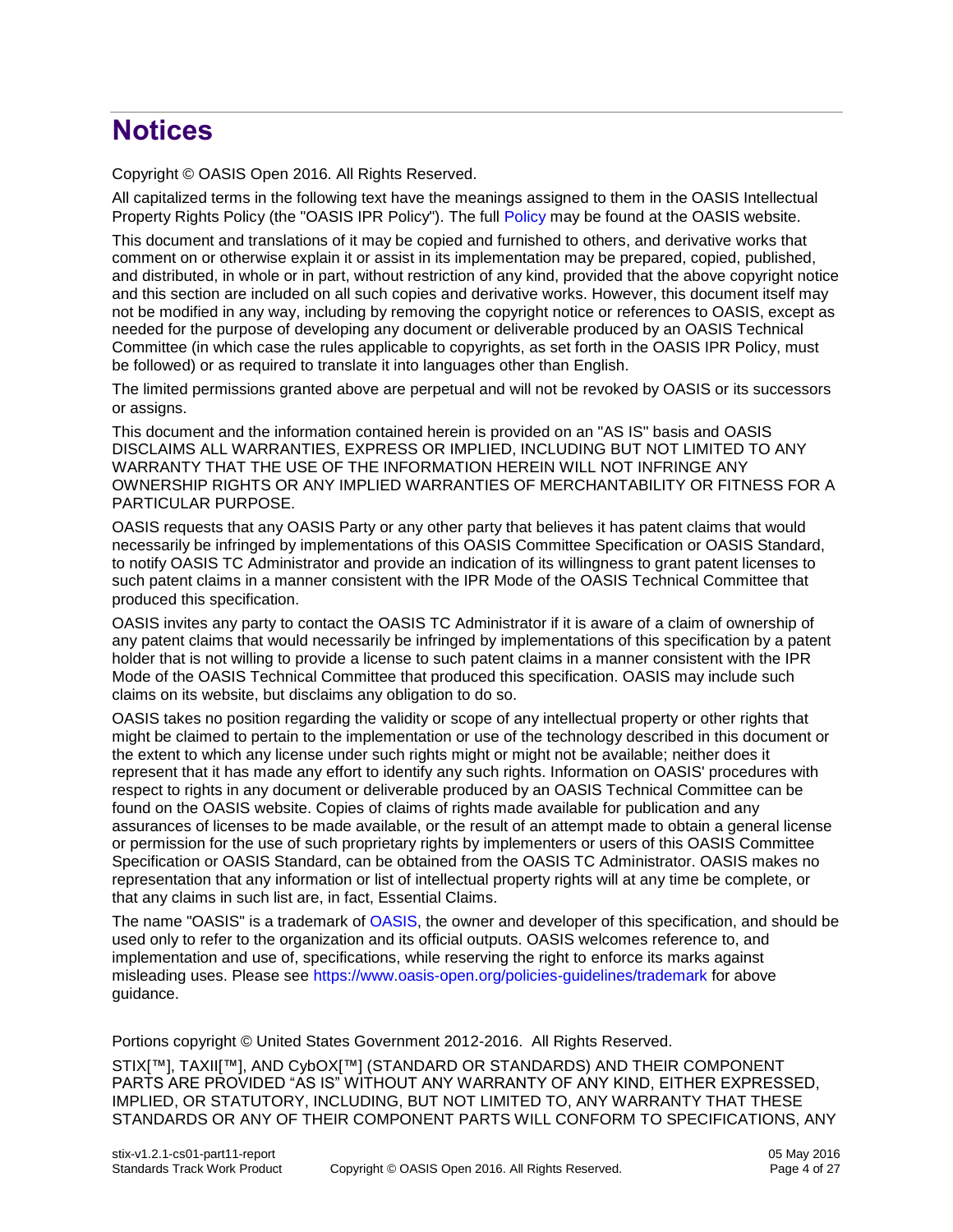# **Notices**

Copyright © OASIS Open 2016. All Rights Reserved.

All capitalized terms in the following text have the meanings assigned to them in the OASIS Intellectual Property Rights Policy (the "OASIS IPR Policy"). The full [Policy](https://www.oasis-open.org/policies-guidelines/ipr) may be found at the OASIS website.

This document and translations of it may be copied and furnished to others, and derivative works that comment on or otherwise explain it or assist in its implementation may be prepared, copied, published, and distributed, in whole or in part, without restriction of any kind, provided that the above copyright notice and this section are included on all such copies and derivative works. However, this document itself may not be modified in any way, including by removing the copyright notice or references to OASIS, except as needed for the purpose of developing any document or deliverable produced by an OASIS Technical Committee (in which case the rules applicable to copyrights, as set forth in the OASIS IPR Policy, must be followed) or as required to translate it into languages other than English.

The limited permissions granted above are perpetual and will not be revoked by OASIS or its successors or assigns.

This document and the information contained herein is provided on an "AS IS" basis and OASIS DISCLAIMS ALL WARRANTIES, EXPRESS OR IMPLIED, INCLUDING BUT NOT LIMITED TO ANY WARRANTY THAT THE USE OF THE INFORMATION HEREIN WILL NOT INFRINGE ANY OWNERSHIP RIGHTS OR ANY IMPLIED WARRANTIES OF MERCHANTABILITY OR FITNESS FOR A PARTICULAR PURPOSE.

OASIS requests that any OASIS Party or any other party that believes it has patent claims that would necessarily be infringed by implementations of this OASIS Committee Specification or OASIS Standard, to notify OASIS TC Administrator and provide an indication of its willingness to grant patent licenses to such patent claims in a manner consistent with the IPR Mode of the OASIS Technical Committee that produced this specification.

OASIS invites any party to contact the OASIS TC Administrator if it is aware of a claim of ownership of any patent claims that would necessarily be infringed by implementations of this specification by a patent holder that is not willing to provide a license to such patent claims in a manner consistent with the IPR Mode of the OASIS Technical Committee that produced this specification. OASIS may include such claims on its website, but disclaims any obligation to do so.

OASIS takes no position regarding the validity or scope of any intellectual property or other rights that might be claimed to pertain to the implementation or use of the technology described in this document or the extent to which any license under such rights might or might not be available; neither does it represent that it has made any effort to identify any such rights. Information on OASIS' procedures with respect to rights in any document or deliverable produced by an OASIS Technical Committee can be found on the OASIS website. Copies of claims of rights made available for publication and any assurances of licenses to be made available, or the result of an attempt made to obtain a general license or permission for the use of such proprietary rights by implementers or users of this OASIS Committee Specification or OASIS Standard, can be obtained from the OASIS TC Administrator. OASIS makes no representation that any information or list of intellectual property rights will at any time be complete, or that any claims in such list are, in fact, Essential Claims.

The name "OASIS" is a trademark of [OASIS,](https://www.oasis-open.org/) the owner and developer of this specification, and should be used only to refer to the organization and its official outputs. OASIS welcomes reference to, and implementation and use of, specifications, while reserving the right to enforce its marks against misleading uses. Please see<https://www.oasis-open.org/policies-guidelines/trademark> for above guidance.

Portions copyright © United States Government 2012-2016. All Rights Reserved.

STIX[™], TAXII[™], AND CybOX[™] (STANDARD OR STANDARDS) AND THEIR COMPONENT PARTS ARE PROVIDED "AS IS" WITHOUT ANY WARRANTY OF ANY KIND, EITHER EXPRESSED, IMPLIED, OR STATUTORY, INCLUDING, BUT NOT LIMITED TO, ANY WARRANTY THAT THESE STANDARDS OR ANY OF THEIR COMPONENT PARTS WILL CONFORM TO SPECIFICATIONS, ANY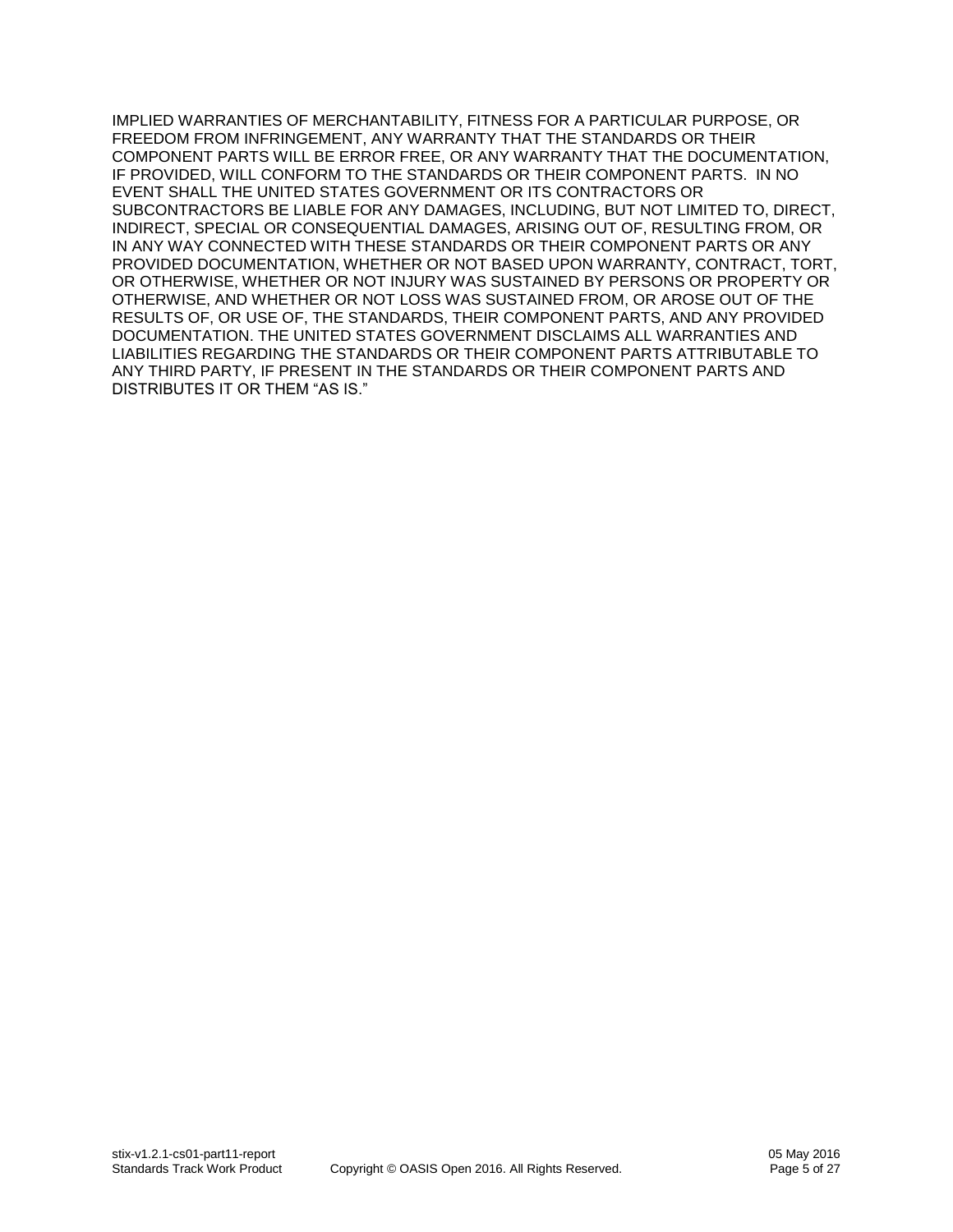IMPLIED WARRANTIES OF MERCHANTABILITY, FITNESS FOR A PARTICULAR PURPOSE, OR FREEDOM FROM INFRINGEMENT, ANY WARRANTY THAT THE STANDARDS OR THEIR COMPONENT PARTS WILL BE ERROR FREE, OR ANY WARRANTY THAT THE DOCUMENTATION, IF PROVIDED, WILL CONFORM TO THE STANDARDS OR THEIR COMPONENT PARTS. IN NO EVENT SHALL THE UNITED STATES GOVERNMENT OR ITS CONTRACTORS OR SUBCONTRACTORS BE LIABLE FOR ANY DAMAGES, INCLUDING, BUT NOT LIMITED TO, DIRECT, INDIRECT, SPECIAL OR CONSEQUENTIAL DAMAGES, ARISING OUT OF, RESULTING FROM, OR IN ANY WAY CONNECTED WITH THESE STANDARDS OR THEIR COMPONENT PARTS OR ANY PROVIDED DOCUMENTATION, WHETHER OR NOT BASED UPON WARRANTY, CONTRACT, TORT, OR OTHERWISE, WHETHER OR NOT INJURY WAS SUSTAINED BY PERSONS OR PROPERTY OR OTHERWISE, AND WHETHER OR NOT LOSS WAS SUSTAINED FROM, OR AROSE OUT OF THE RESULTS OF, OR USE OF, THE STANDARDS, THEIR COMPONENT PARTS, AND ANY PROVIDED DOCUMENTATION. THE UNITED STATES GOVERNMENT DISCLAIMS ALL WARRANTIES AND LIABILITIES REGARDING THE STANDARDS OR THEIR COMPONENT PARTS ATTRIBUTABLE TO ANY THIRD PARTY, IF PRESENT IN THE STANDARDS OR THEIR COMPONENT PARTS AND DISTRIBUTES IT OR THEM "AS IS."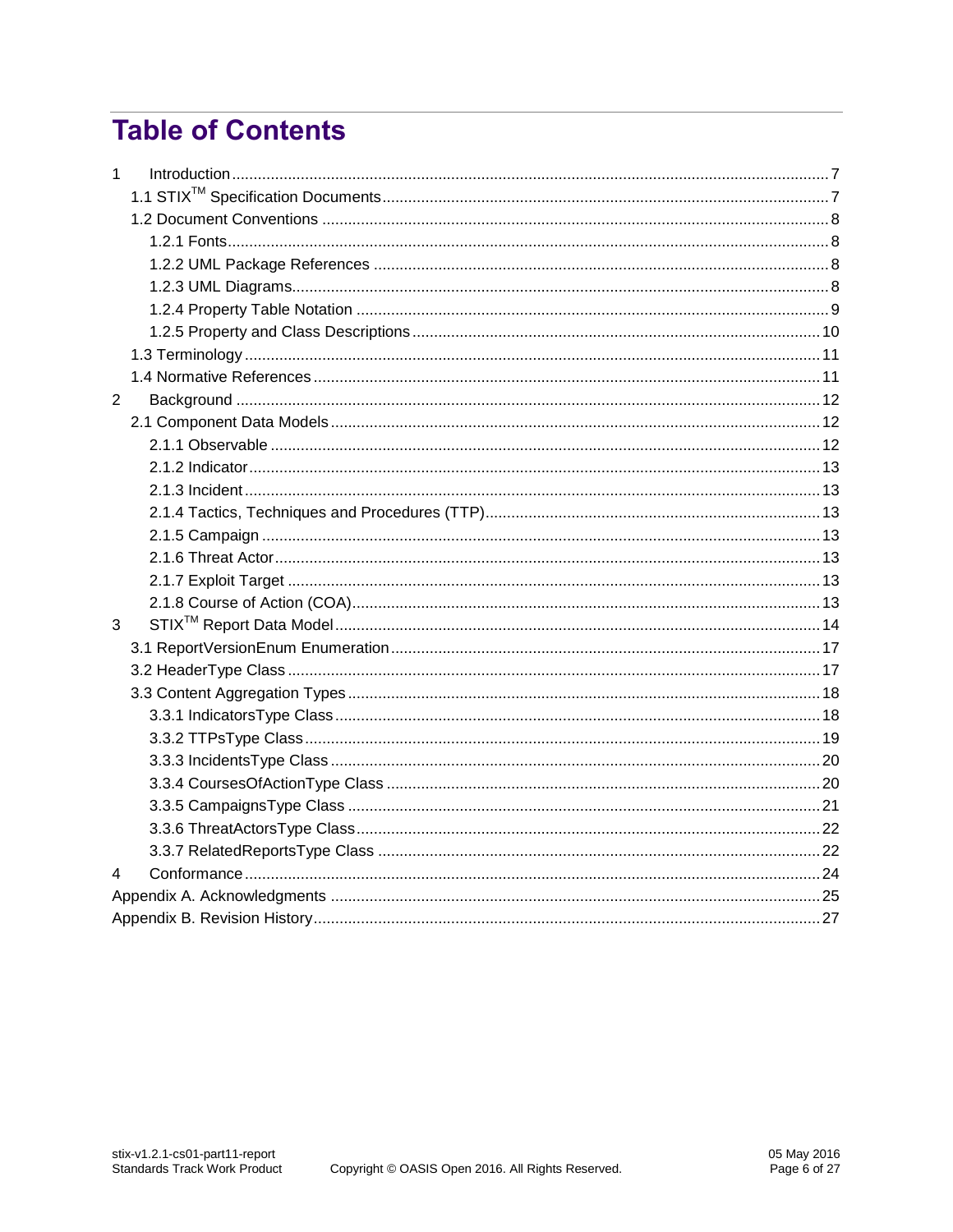# **Table of Contents**

| 1              |  |  |  |  |  |
|----------------|--|--|--|--|--|
|                |  |  |  |  |  |
|                |  |  |  |  |  |
|                |  |  |  |  |  |
|                |  |  |  |  |  |
|                |  |  |  |  |  |
|                |  |  |  |  |  |
|                |  |  |  |  |  |
|                |  |  |  |  |  |
|                |  |  |  |  |  |
| $\overline{2}$ |  |  |  |  |  |
|                |  |  |  |  |  |
|                |  |  |  |  |  |
|                |  |  |  |  |  |
|                |  |  |  |  |  |
|                |  |  |  |  |  |
|                |  |  |  |  |  |
|                |  |  |  |  |  |
|                |  |  |  |  |  |
|                |  |  |  |  |  |
| 3              |  |  |  |  |  |
|                |  |  |  |  |  |
|                |  |  |  |  |  |
|                |  |  |  |  |  |
|                |  |  |  |  |  |
|                |  |  |  |  |  |
|                |  |  |  |  |  |
|                |  |  |  |  |  |
|                |  |  |  |  |  |
|                |  |  |  |  |  |
|                |  |  |  |  |  |
| 4              |  |  |  |  |  |
|                |  |  |  |  |  |
|                |  |  |  |  |  |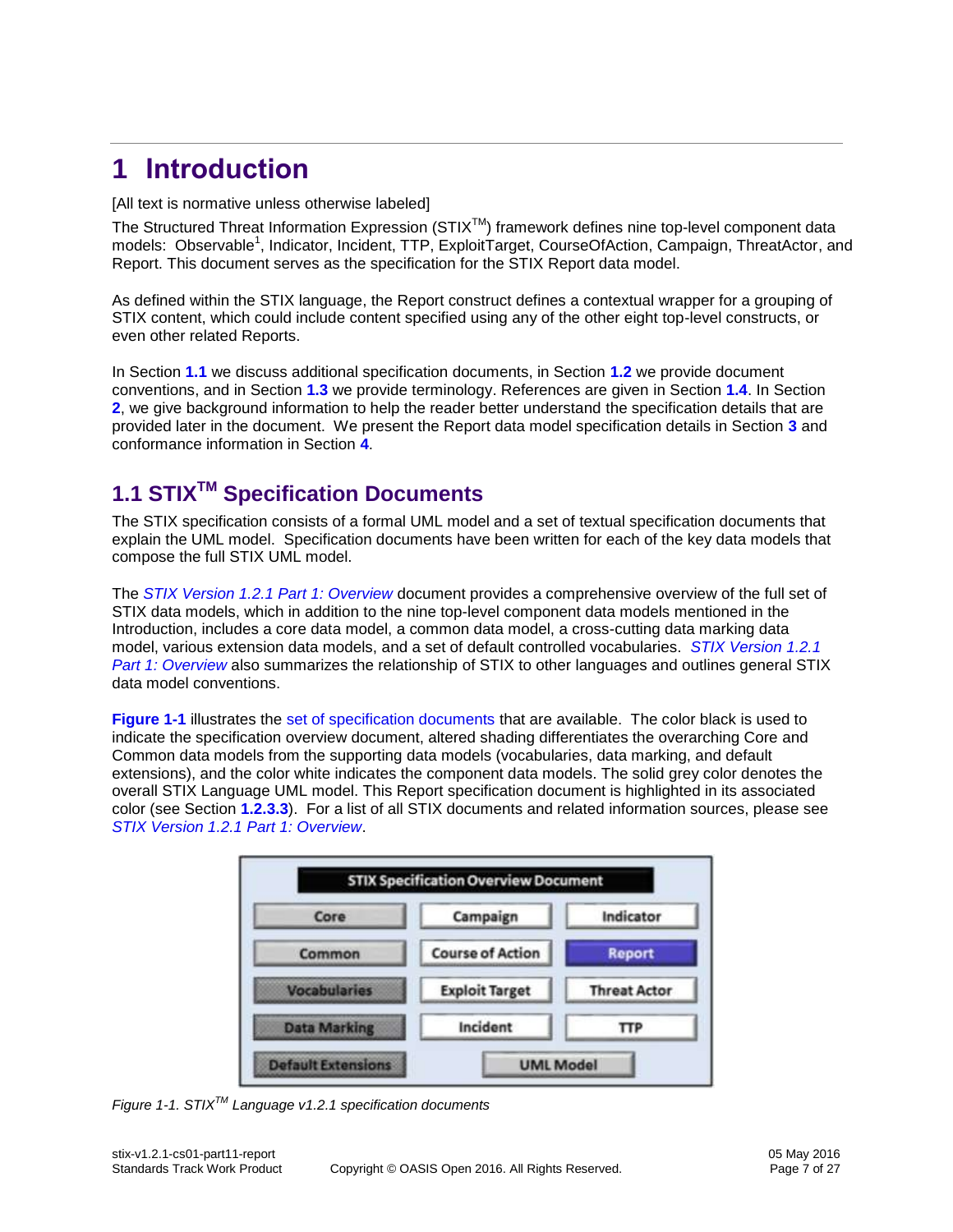# <span id="page-6-0"></span>**1 Introduction**

[All text is normative unless otherwise labeled]

The Structured Threat Information Expression (STIX™) framework defines nine top-level component data models: Observable<sup>1</sup>, Indicator, Incident, TTP, ExploitTarget, CourseOfAction, Campaign, ThreatActor, and Report. This document serves as the specification for the STIX Report data model.

As defined within the STIX language, the Report construct defines a contextual wrapper for a grouping of STIX content, which could include content specified using any of the other eight top-level constructs, or even other related Reports.

In Section **[1.1](#page-6-1)** we discuss additional specification documents, in Section **[1.2](#page-7-0)** we provide document conventions, and in Section **[1.3](#page-10-0)** we provide terminology. References are given in Section **[1.4](#page-10-1)**. In Section **[2](#page-11-0)**, we give background information to help the reader better understand the specification details that are provided later in the document. We present the Report data model specification details in Section **[3](#page-13-0)** and conformance information in Section **[4](#page-23-0)**.

# <span id="page-6-1"></span>**1.1 STIXTM Specification Documents**

The STIX specification consists of a formal UML model and a set of textual specification documents that explain the UML model. Specification documents have been written for each of the key data models that compose the full STIX UML model.

The *[STIX Version 1.2.1 Part 1: Overview](#page-0-0)* document provides a comprehensive overview of the full set of STIX data models, which in addition to the nine top-level component data models mentioned in the Introduction, includes a core data model, a common data model, a cross-cutting data marking data model, various extension data models, and a set of default controlled vocabularies. *[STIX Version 1.2.1](#page-0-0)  [Part 1: Overview](#page-0-0)* also summarizes the relationship of STIX to other languages and outlines general STIX data model conventions.

**[Figure 1-1](#page-6-2)** illustrates the [set of specification documents](#page-0-0) that are available. The color black is used to indicate the specification overview document, altered shading differentiates the overarching Core and Common data models from the supporting data models (vocabularies, data marking, and default extensions), and the color white indicates the component data models. The solid grey color denotes the overall STIX Language UML model. This Report specification document is highlighted in its associated color (see Section **[1.2.3.3](#page-8-1)**). For a list of all STIX documents and related information sources, please see *[STIX Version 1.2.1 Part 1: Overview](#page-0-0)*.



<span id="page-6-2"></span>*Figure 1-1. STIXTM Language v1.2.1 specification documents*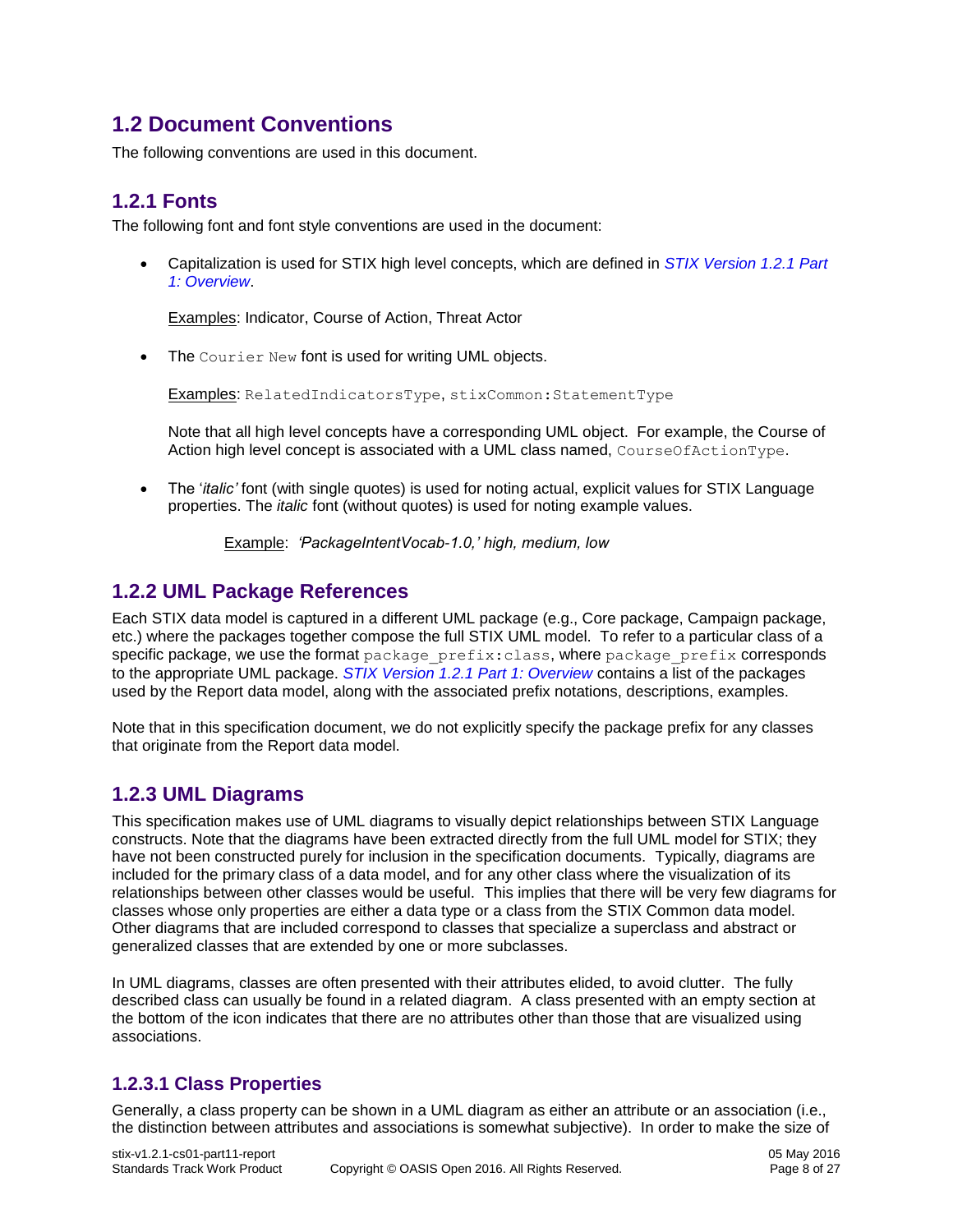## <span id="page-7-0"></span>**1.2 Document Conventions**

The following conventions are used in this document.

### <span id="page-7-1"></span>**1.2.1 Fonts**

The following font and font style conventions are used in the document:

 Capitalization is used for STIX high level concepts, which are defined in *[STIX Version 1.2.1 Part](#page-0-0)  [1: Overview](#page-0-0)*.

Examples: Indicator, Course of Action, Threat Actor

• The Courier New font is used for writing UML objects.

Examples: RelatedIndicatorsType, stixCommon:StatementType

Note that all high level concepts have a corresponding UML object. For example, the Course of Action high level concept is associated with a UML class named, CourseOfActionType.

 The '*italic'* font (with single quotes) is used for noting actual, explicit values for STIX Language properties. The *italic* font (without quotes) is used for noting example values.

Example: *'PackageIntentVocab-1.0,' high, medium, low*

### <span id="page-7-2"></span>**1.2.2 UML Package References**

Each STIX data model is captured in a different UML package (e.g., Core package, Campaign package, etc.) where the packages together compose the full STIX UML model. To refer to a particular class of a specific package, we use the format package prefix:class, where package prefix corresponds to the appropriate UML package. *[STIX Version 1.2.1 Part 1: Overview](#page-0-0)* contains a list of the packages used by the Report data model, along with the associated prefix notations, descriptions, examples.

Note that in this specification document, we do not explicitly specify the package prefix for any classes that originate from the Report data model.

### <span id="page-7-3"></span>**1.2.3 UML Diagrams**

This specification makes use of UML diagrams to visually depict relationships between STIX Language constructs. Note that the diagrams have been extracted directly from the full UML model for STIX; they have not been constructed purely for inclusion in the specification documents. Typically, diagrams are included for the primary class of a data model, and for any other class where the visualization of its relationships between other classes would be useful. This implies that there will be very few diagrams for classes whose only properties are either a data type or a class from the STIX Common data model. Other diagrams that are included correspond to classes that specialize a superclass and abstract or generalized classes that are extended by one or more subclasses.

In UML diagrams, classes are often presented with their attributes elided, to avoid clutter. The fully described class can usually be found in a related diagram. A class presented with an empty section at the bottom of the icon indicates that there are no attributes other than those that are visualized using associations.

### **1.2.3.1 Class Properties**

Generally, a class property can be shown in a UML diagram as either an attribute or an association (i.e., the distinction between attributes and associations is somewhat subjective). In order to make the size of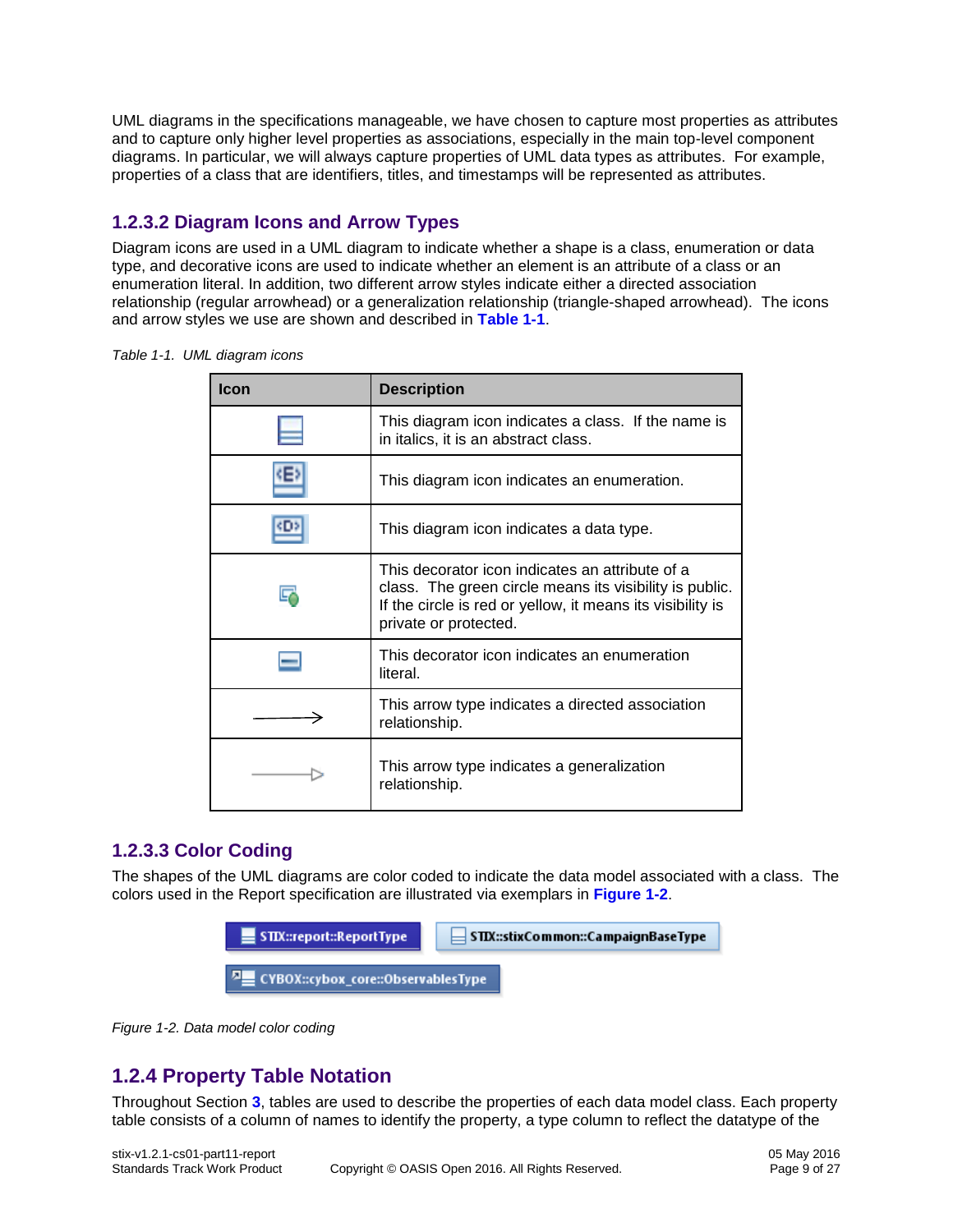UML diagrams in the specifications manageable, we have chosen to capture most properties as attributes and to capture only higher level properties as associations, especially in the main top-level component diagrams. In particular, we will always capture properties of UML data types as attributes. For example, properties of a class that are identifiers, titles, and timestamps will be represented as attributes.

### **1.2.3.2 Diagram Icons and Arrow Types**

Diagram icons are used in a UML diagram to indicate whether a shape is a class, enumeration or data type, and decorative icons are used to indicate whether an element is an attribute of a class or an enumeration literal. In addition, two different arrow styles indicate either a directed association relationship (regular arrowhead) or a generalization relationship (triangle-shaped arrowhead). The icons and arrow styles we use are shown and described in **[Table 1-1](#page-8-2)**[.](#page-8-2)

<span id="page-8-2"></span>*Table 1-1. UML diagram icons*

| <b>Icon</b> | <b>Description</b>                                                                                                                                                                                |
|-------------|---------------------------------------------------------------------------------------------------------------------------------------------------------------------------------------------------|
|             | This diagram icon indicates a class. If the name is<br>in italics, it is an abstract class.                                                                                                       |
| 4E Z        | This diagram icon indicates an enumeration.                                                                                                                                                       |
| сгаз        | This diagram icon indicates a data type.                                                                                                                                                          |
|             | This decorator icon indicates an attribute of a<br>class. The green circle means its visibility is public.<br>If the circle is red or yellow, it means its visibility is<br>private or protected. |
|             | This decorator icon indicates an enumeration<br>literal.                                                                                                                                          |
|             | This arrow type indicates a directed association<br>relationship.                                                                                                                                 |
|             | This arrow type indicates a generalization<br>relationship.                                                                                                                                       |

### <span id="page-8-1"></span>**1.2.3.3 Color Coding**

The shapes of the UML diagrams are color coded to indicate the data model associated with a class. The colors used in the Report specification are illustrated via exemplars in **[Figure 1-2](#page-8-3)**.



<span id="page-8-3"></span>*Figure 1-2. Data model color coding*

## <span id="page-8-0"></span>**1.2.4 Property Table Notation**

Throughout Section **[3](#page-13-0)**, tables are used to describe the properties of each data model class. Each property table consists of a column of names to identify the property, a type column to reflect the datatype of the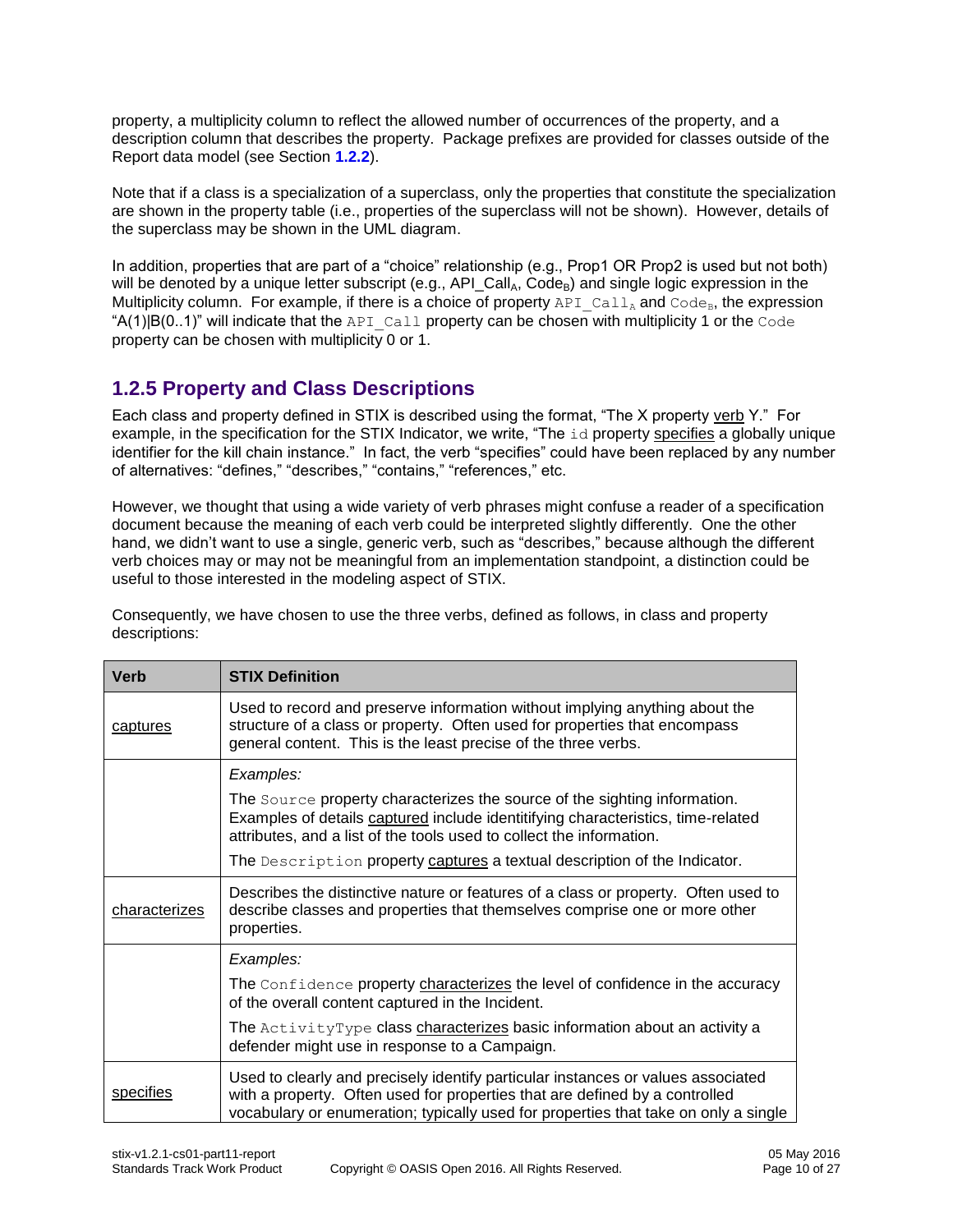property, a multiplicity column to reflect the allowed number of occurrences of the property, and a description column that describes the property. Package prefixes are provided for classes outside of the Report data model (see Section **[1.2.2](#page-7-2)**).

Note that if a class is a specialization of a superclass, only the properties that constitute the specialization are shown in the property table (i.e., properties of the superclass will not be shown). However, details of the superclass may be shown in the UML diagram.

In addition, properties that are part of a "choice" relationship (e.g., Prop1 OR Prop2 is used but not both) will be denoted by a unique letter subscript (e.g.,  $AP|Call_A, Code_B$ ) and single logic expression in the Multiplicity column. For example, if there is a choice of property  $APICall_A$  and  $Code_B$ , the expression " $A(1)|B(0..1)$ " will indicate that the API Call property can be chosen with multiplicity 1 or the Code property can be chosen with multiplicity 0 or 1.

### <span id="page-9-0"></span>**1.2.5 Property and Class Descriptions**

Each class and property defined in STIX is described using the format, "The X property verb Y." For example, in the specification for the STIX Indicator, we write, "The id property specifies a globally unique identifier for the kill chain instance." In fact, the verb "specifies" could have been replaced by any number of alternatives: "defines," "describes," "contains," "references," etc.

However, we thought that using a wide variety of verb phrases might confuse a reader of a specification document because the meaning of each verb could be interpreted slightly differently. One the other hand, we didn't want to use a single, generic verb, such as "describes," because although the different verb choices may or may not be meaningful from an implementation standpoint, a distinction could be useful to those interested in the modeling aspect of STIX.

Consequently, we have chosen to use the three verbs, defined as follows, in class and property descriptions:

| <b>Verb</b>                                                                                                                                                                                      | <b>STIX Definition</b>                                                                                                                                                                                                                                 |  |  |
|--------------------------------------------------------------------------------------------------------------------------------------------------------------------------------------------------|--------------------------------------------------------------------------------------------------------------------------------------------------------------------------------------------------------------------------------------------------------|--|--|
| captures                                                                                                                                                                                         | Used to record and preserve information without implying anything about the<br>structure of a class or property. Often used for properties that encompass<br>general content. This is the least precise of the three verbs.                            |  |  |
| Examples:                                                                                                                                                                                        |                                                                                                                                                                                                                                                        |  |  |
|                                                                                                                                                                                                  | The Source property characterizes the source of the sighting information.<br>Examples of details captured include identitifying characteristics, time-related<br>attributes, and a list of the tools used to collect the information.                  |  |  |
|                                                                                                                                                                                                  | The Description property captures a textual description of the Indicator.                                                                                                                                                                              |  |  |
| Describes the distinctive nature or features of a class or property. Often used to<br>describe classes and properties that themselves comprise one or more other<br>characterizes<br>properties. |                                                                                                                                                                                                                                                        |  |  |
|                                                                                                                                                                                                  | Examples:                                                                                                                                                                                                                                              |  |  |
|                                                                                                                                                                                                  | The Confidence property characterizes the level of confidence in the accuracy<br>of the overall content captured in the Incident.                                                                                                                      |  |  |
|                                                                                                                                                                                                  | The ActivityType class characterizes basic information about an activity a<br>defender might use in response to a Campaign.                                                                                                                            |  |  |
| specifies                                                                                                                                                                                        | Used to clearly and precisely identify particular instances or values associated<br>with a property. Often used for properties that are defined by a controlled<br>vocabulary or enumeration; typically used for properties that take on only a single |  |  |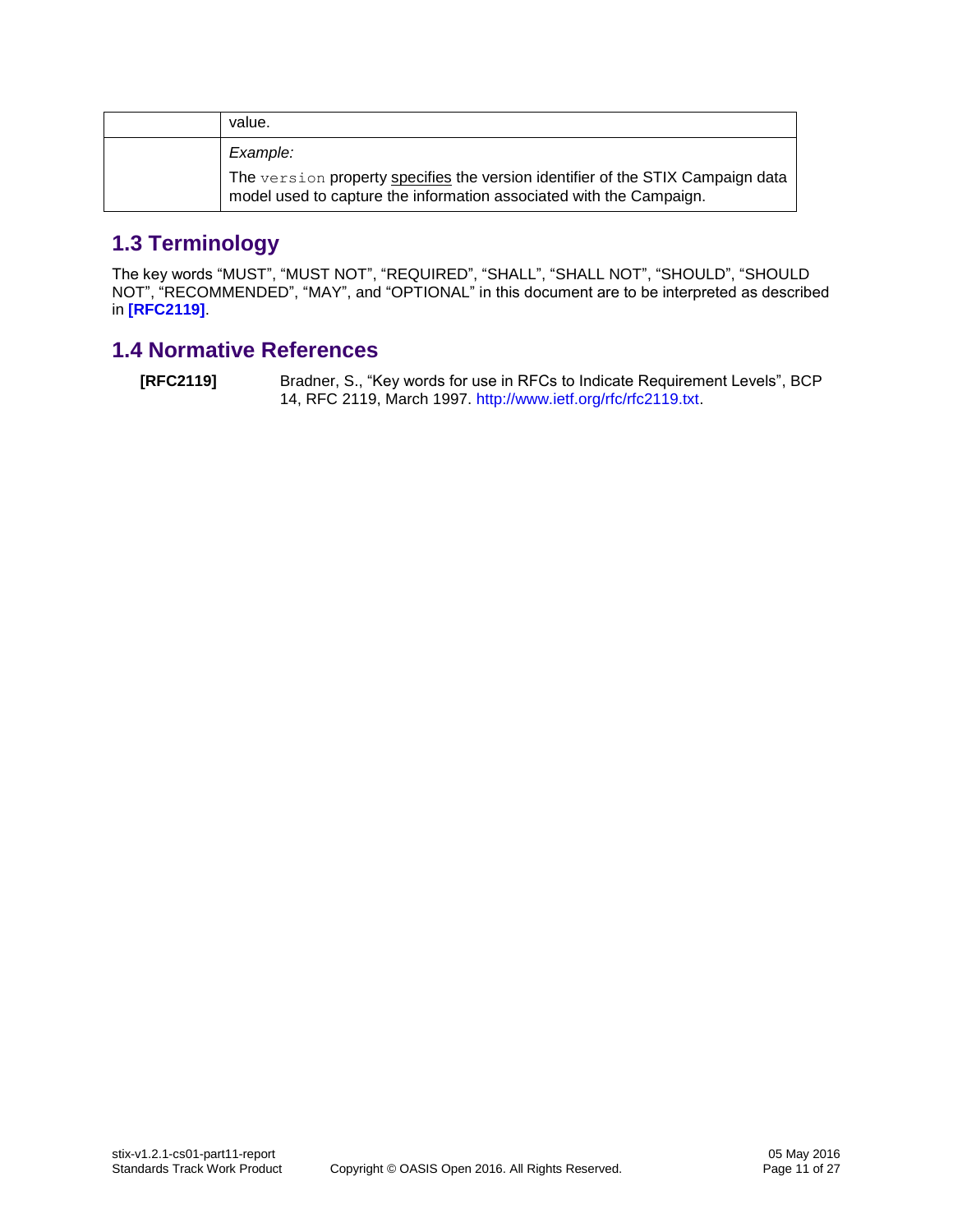| value.                                                                                                                                                 |
|--------------------------------------------------------------------------------------------------------------------------------------------------------|
| Example:                                                                                                                                               |
| The version property specifies the version identifier of the STIX Campaign data<br>model used to capture the information associated with the Campaign. |

# <span id="page-10-0"></span>**1.3 Terminology**

The key words "MUST", "MUST NOT", "REQUIRED", "SHALL", "SHALL NOT", "SHOULD", "SHOULD NOT", "RECOMMENDED", "MAY", and "OPTIONAL" in this document are to be interpreted as described in **[\[RFC2119\]](#page-10-2)**.

# <span id="page-10-1"></span>**1.4 Normative References**

<span id="page-10-2"></span>**[RFC2119]** Bradner, S., "Key words for use in RFCs to Indicate Requirement Levels", BCP 14, RFC 2119, March 1997. [http://www.ietf.org/rfc/rfc2119.txt.](http://www.ietf.org/rfc/rfc2119.txt)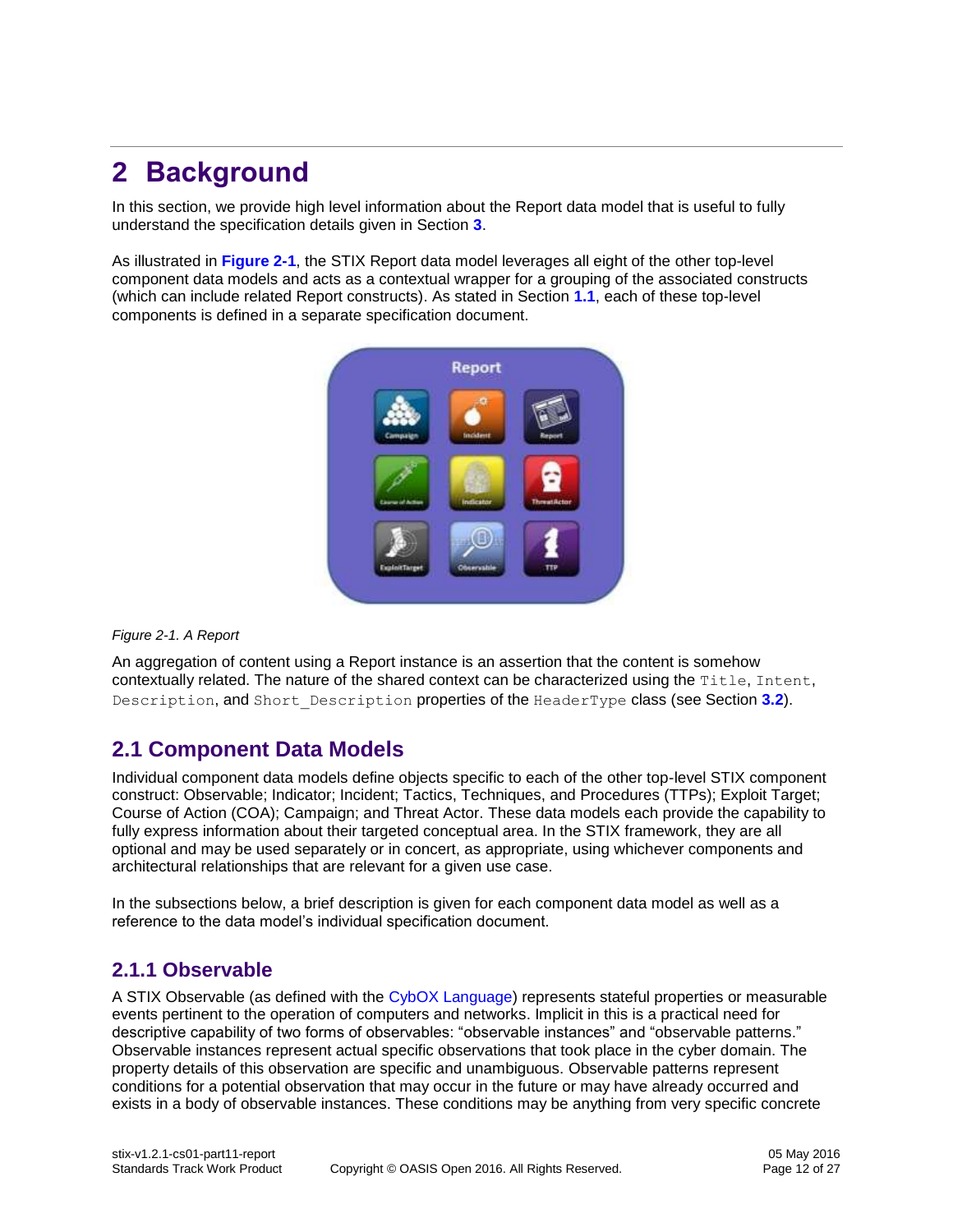# <span id="page-11-0"></span>**2 Background**

In this section, we provide high level information about the Report data model that is useful to fully understand the specification details given in Section **[3](#page-13-0)**.

As illustrated in **[Figure 2-1](#page-11-3)**, the STIX Report data model leverages all eight of the other top-level component data models and acts as a contextual wrapper for a grouping of the associated constructs (which can include related Report constructs). As stated in Section **[1.1](#page-6-1)**, each of these top-level components is defined in a separate specification document.



#### <span id="page-11-3"></span>*Figure 2-1. A Report*

An aggregation of content using a Report instance is an assertion that the content is somehow contextually related. The nature of the shared context can be characterized using the Title, Intent, Description, and Short\_Description properties of the HeaderType class (see Section **[3.2](#page-16-1)**).

### <span id="page-11-1"></span>**2.1 Component Data Models**

Individual component data models define objects specific to each of the other top-level STIX component construct: Observable; Indicator; Incident; Tactics, Techniques, and Procedures (TTPs); Exploit Target; Course of Action (COA); Campaign; and Threat Actor. These data models each provide the capability to fully express information about their targeted conceptual area. In the STIX framework, they are all optional and may be used separately or in concert, as appropriate, using whichever components and architectural relationships that are relevant for a given use case.

In the subsections below, a brief description is given for each component data model as well as a reference to the data model's individual specification document.

### <span id="page-11-2"></span>**2.1.1 Observable**

A STIX Observable (as defined with the [CybOX Language\)](#page-1-0) represents stateful properties or measurable events pertinent to the operation of computers and networks. Implicit in this is a practical need for descriptive capability of two forms of observables: "observable instances" and "observable patterns." Observable instances represent actual specific observations that took place in the cyber domain. The property details of this observation are specific and unambiguous. Observable patterns represent conditions for a potential observation that may occur in the future or may have already occurred and exists in a body of observable instances. These conditions may be anything from very specific concrete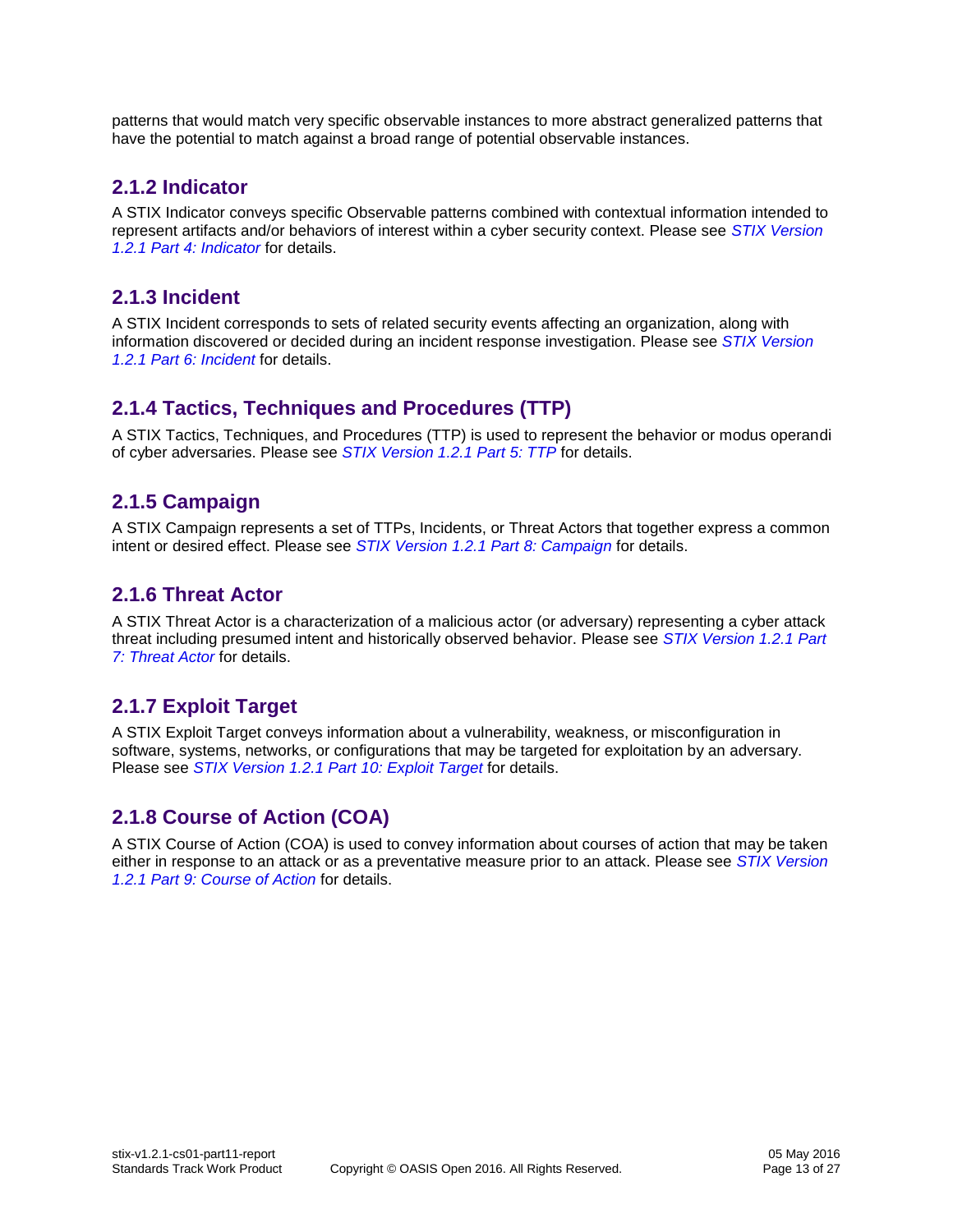patterns that would match very specific observable instances to more abstract generalized patterns that have the potential to match against a broad range of potential observable instances.

### <span id="page-12-0"></span>**2.1.2 Indicator**

A STIX Indicator conveys specific Observable patterns combined with contextual information intended to represent artifacts and/or behaviors of interest within a cyber security context. Please see *[STIX Version](#page-0-0)  [1.2.1 Part 4: Indicator](#page-0-0)* for details.

### <span id="page-12-1"></span>**2.1.3 Incident**

A STIX Incident corresponds to sets of related security events affecting an organization, along with information discovered or decided during an incident response investigation. Please see *[STIX Version](#page-0-0)  [1.2.1 Part 6: Incident](#page-0-0)* for details.

### <span id="page-12-2"></span>**2.1.4 Tactics, Techniques and Procedures (TTP)**

A STIX Tactics, Techniques, and Procedures (TTP) is used to represent the behavior or modus operandi of cyber adversaries. Please see *[STIX Version 1.2.1 Part 5: TTP](#page-0-0)* for details.

### <span id="page-12-3"></span>**2.1.5 Campaign**

A STIX [Campaign](http://stixproject.github.io/data-model/1.1.1/campaign/CampaignType) represents a set of TTPs, Incidents, or Threat Actors that together express a common intent or desired effect. Please see *[STIX Version 1.2.1 Part 8: Campaign](#page-0-0)* for details.

### <span id="page-12-4"></span>**2.1.6 Threat Actor**

A STIX Threat Actor is a characterization of a malicious actor (or adversary) representing a cyber attack threat including presumed intent and historically observed behavior. Please see *[STIX Version 1.2.1 Part](#page-0-0)  [7: Threat Actor](#page-0-0)* for details.

### <span id="page-12-5"></span>**2.1.7 Exploit Target**

A STIX Exploit Target conveys information about a vulnerability, weakness, or misconfiguration in software, systems, networks, or configurations that may be targeted for exploitation by an adversary. Please see *[STIX Version 1.2.1 Part 10: Exploit Target](#page-0-0)* for details.

### <span id="page-12-6"></span>**2.1.8 Course of Action (COA)**

A STIX [Course of Action](http://stixproject.github.io/data-model/1.1.1/coa/CourseOfActionType) (COA) is used to convey information about courses of action that may be taken either in response to an attack or as a preventative measure prior to an attack. Please see *[STIX Version](#page-0-0)  [1.2.1 Part 9: Course of Action](#page-0-0)* for details.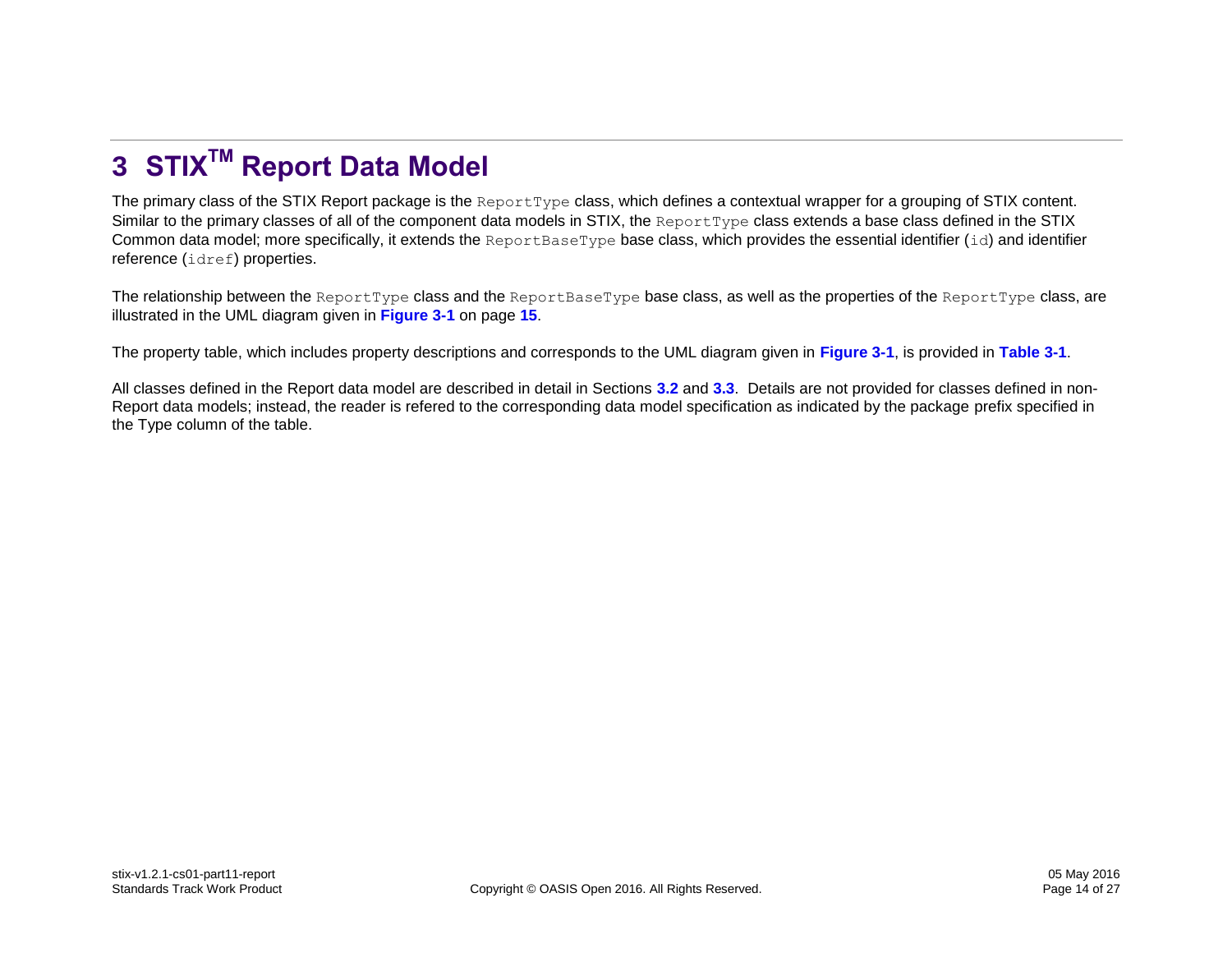# **3 STIXTM Report Data Model**

The primary class of the STIX Report package is the ReportType class, which defines a contextual wrapper for a grouping of STIX content. Similar to the primary classes of all of the component data models in STIX, the ReportType class extends a base class defined in the STIX Common data model; more specifically, it extends the ReportBaseType base class, which provides the essential identifier  $(id)$  and identifier reference (idref) properties.

The relationship between the ReportType class and the ReportBaseType base class, as well as the properties of the ReportType class, are illustrated in the UML diagram given in **[Figure 3-1](#page-14-0)** on page **[15](#page-14-0)**.

The property table, which includes property descriptions and corresponds to the UML diagram given in **[Figure 3-1](#page-14-0)**, is provided in **[Table 3-1](#page-14-1)**.

<span id="page-13-0"></span>All classes defined in the Report data model are described in detail in Sections **[3.2](#page-16-2)** and **[3.3](#page-17-2)**. Details are not provided for classes defined in non-Report data models; instead, the reader is refered to the corresponding data model specification as indicated by the package prefix specified in the Type column of the table.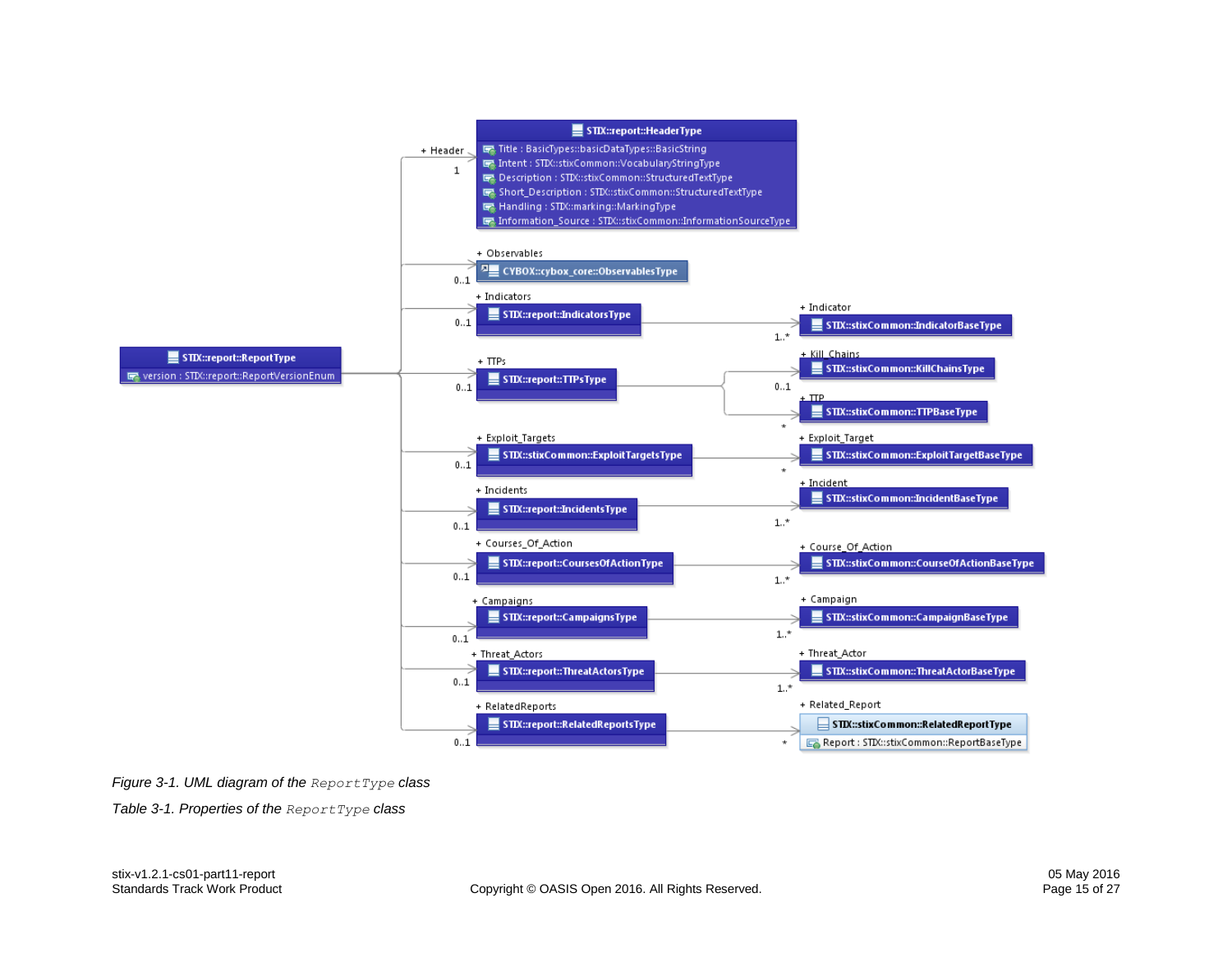

#### <span id="page-14-0"></span>*Figure 3-1. UML diagram of the ReportType class*

<span id="page-14-1"></span>*Table 3-1. Properties of the ReportType class*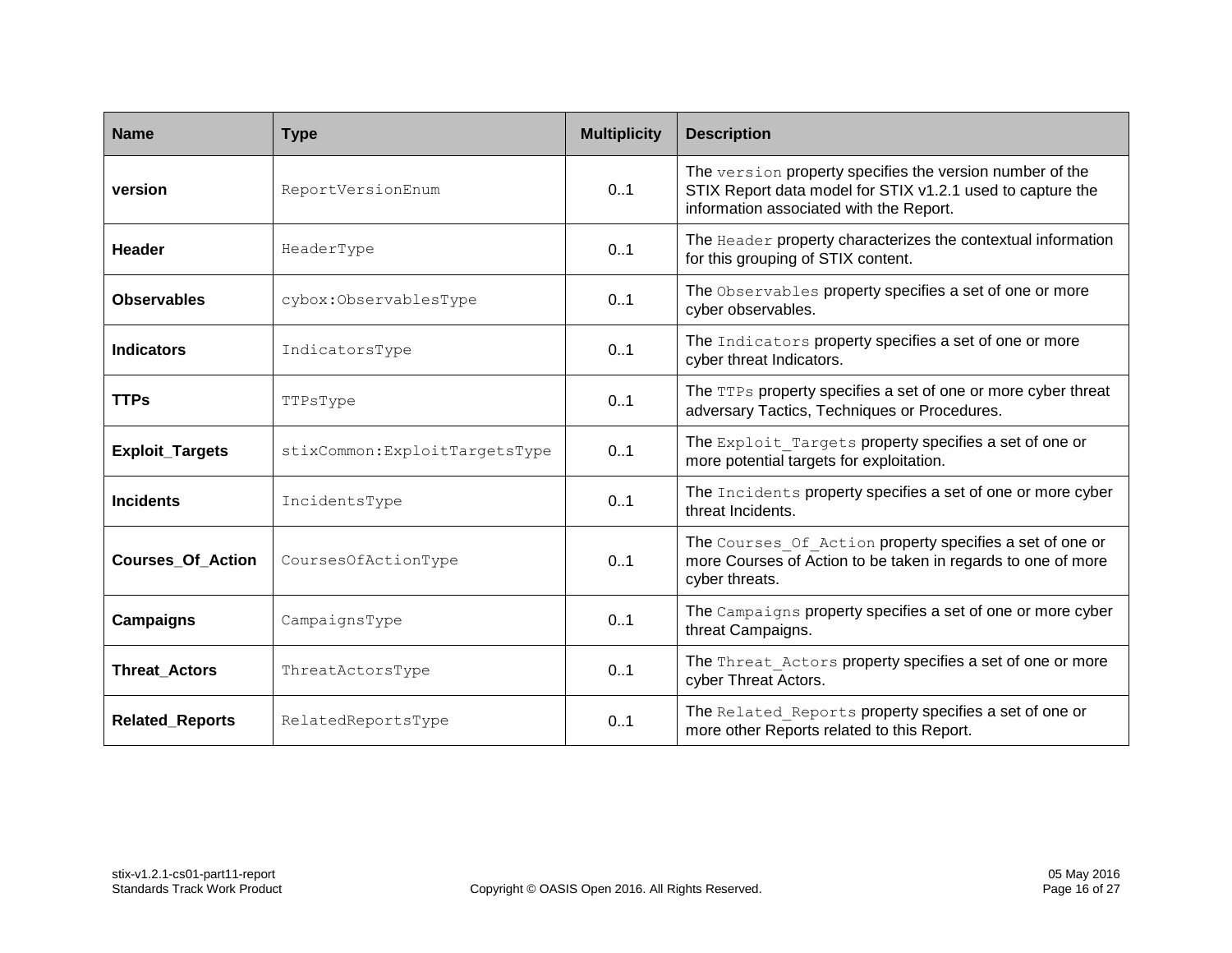| <b>Name</b>              | <b>Type</b>                    | <b>Multiplicity</b> | <b>Description</b>                                                                                                                                                |
|--------------------------|--------------------------------|---------------------|-------------------------------------------------------------------------------------------------------------------------------------------------------------------|
| version                  | ReportVersionEnum              | 0.1                 | The version property specifies the version number of the<br>STIX Report data model for STIX v1.2.1 used to capture the<br>information associated with the Report. |
| <b>Header</b>            | HeaderType                     | 0.1                 | The Header property characterizes the contextual information<br>for this grouping of STIX content.                                                                |
| <b>Observables</b>       | cybox:ObservablesType          | 0.1                 | The Observables property specifies a set of one or more<br>cyber observables.                                                                                     |
| <b>Indicators</b>        | IndicatorsType                 | 0.1                 | The Indicators property specifies a set of one or more<br>cyber threat Indicators.                                                                                |
| <b>TTPs</b>              | TTPsType                       | 0.1                 | The TTPs property specifies a set of one or more cyber threat<br>adversary Tactics, Techniques or Procedures.                                                     |
| <b>Exploit_Targets</b>   | stixCommon: ExploitTargetsType | 0.1                 | The Exploit Targets property specifies a set of one or<br>more potential targets for exploitation.                                                                |
| <b>Incidents</b>         | IncidentsType                  | 0.1                 | The Incidents property specifies a set of one or more cyber<br>threat Incidents.                                                                                  |
| <b>Courses Of Action</b> | CoursesOfActionType            | 0.1                 | The Courses Of Action property specifies a set of one or<br>more Courses of Action to be taken in regards to one of more<br>cyber threats.                        |
| Campaigns                | CampaignsType                  | 0.1                 | The Campaigns property specifies a set of one or more cyber<br>threat Campaigns.                                                                                  |
| <b>Threat_Actors</b>     | ThreatActorsType               | 0.1                 | The Threat Actors property specifies a set of one or more<br>cyber Threat Actors.                                                                                 |
| <b>Related_Reports</b>   | RelatedReportsType             | 0.1                 | The Related Reports property specifies a set of one or<br>more other Reports related to this Report.                                                              |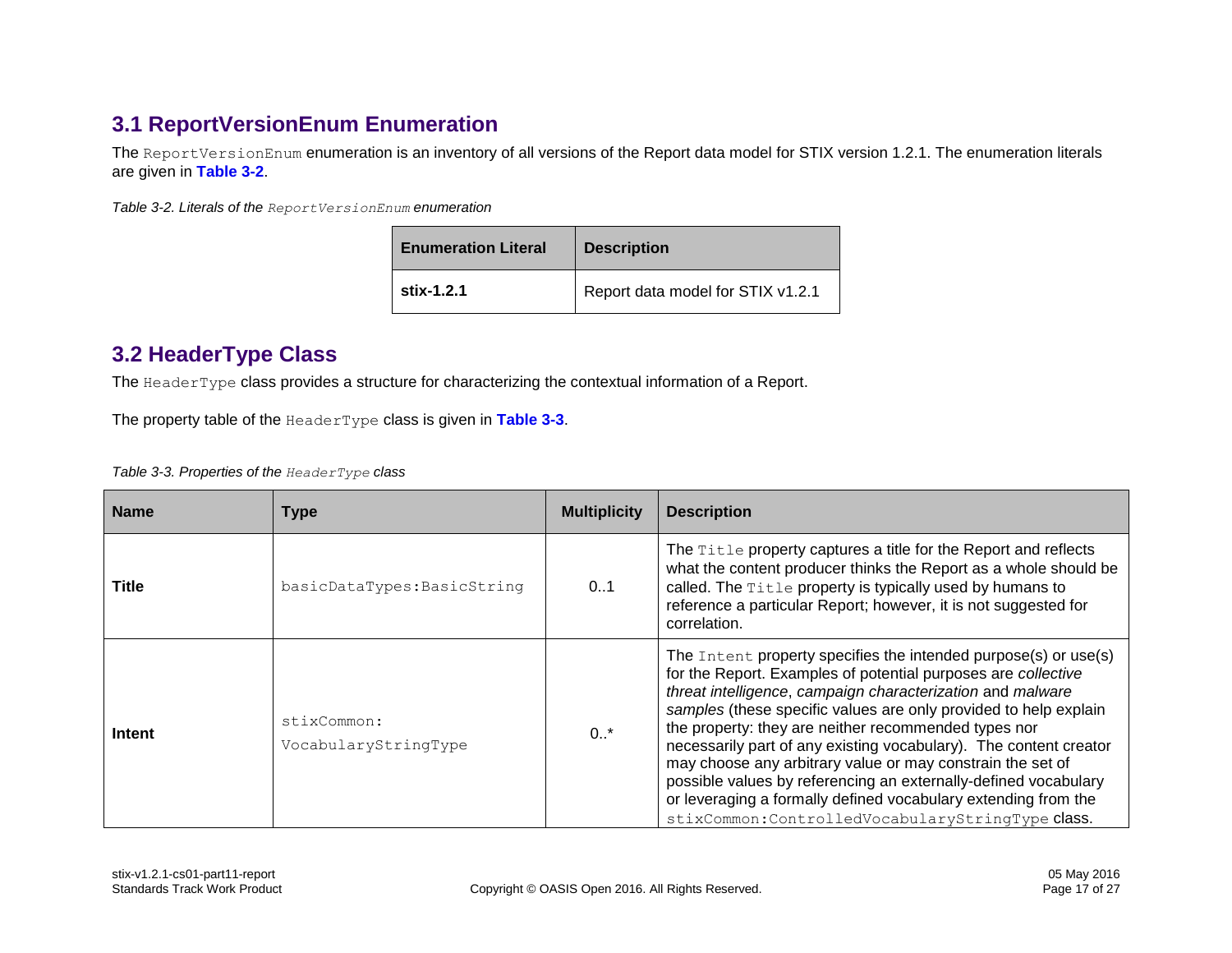# **3.1 ReportVersionEnum Enumeration**

The ReportVersionEnum enumeration is an inventory of all versions of the Report data model for STIX version 1.2.1. The enumeration literals are given in **[Table 3-2](#page-16-3)**.

<span id="page-16-3"></span>*Table 3-2. Literals of the ReportVersionEnum enumeration*

| <b>Enumeration Literal</b> | <b>Description</b>                |  |
|----------------------------|-----------------------------------|--|
| stix-1.2.1                 | Report data model for STIX v1.2.1 |  |

### <span id="page-16-2"></span>**3.2 HeaderType Class**

<span id="page-16-0"></span>The HeaderType class provides a structure for characterizing the contextual information of a Report.

The property table of the HeaderType class is given in **[Table 3-3](#page-16-4)**.

<span id="page-16-4"></span>*Table 3-3. Properties of the HeaderType class*

<span id="page-16-1"></span>

| <b>Name</b> | <b>Type</b>                         | <b>Multiplicity</b> | <b>Description</b>                                                                                                                                                                                                                                                                                                                                                                                                                                                                                                                                                                                                                                      |
|-------------|-------------------------------------|---------------------|---------------------------------------------------------------------------------------------------------------------------------------------------------------------------------------------------------------------------------------------------------------------------------------------------------------------------------------------------------------------------------------------------------------------------------------------------------------------------------------------------------------------------------------------------------------------------------------------------------------------------------------------------------|
| Title       | basicDataTypes: BasicString         | 01                  | The Title property captures a title for the Report and reflects<br>what the content producer thinks the Report as a whole should be<br>called. The Title property is typically used by humans to<br>reference a particular Report; however, it is not suggested for<br>correlation.                                                                                                                                                                                                                                                                                                                                                                     |
| Intent      | stixCommon:<br>VocabularyStringType | $0.1$ *             | The Intent property specifies the intended purpose(s) or use(s)<br>for the Report. Examples of potential purposes are collective<br>threat intelligence, campaign characterization and malware<br>samples (these specific values are only provided to help explain<br>the property: they are neither recommended types nor<br>necessarily part of any existing vocabulary). The content creator<br>may choose any arbitrary value or may constrain the set of<br>possible values by referencing an externally-defined vocabulary<br>or leveraging a formally defined vocabulary extending from the<br>stixCommon: ControlledVocabularyStringType class. |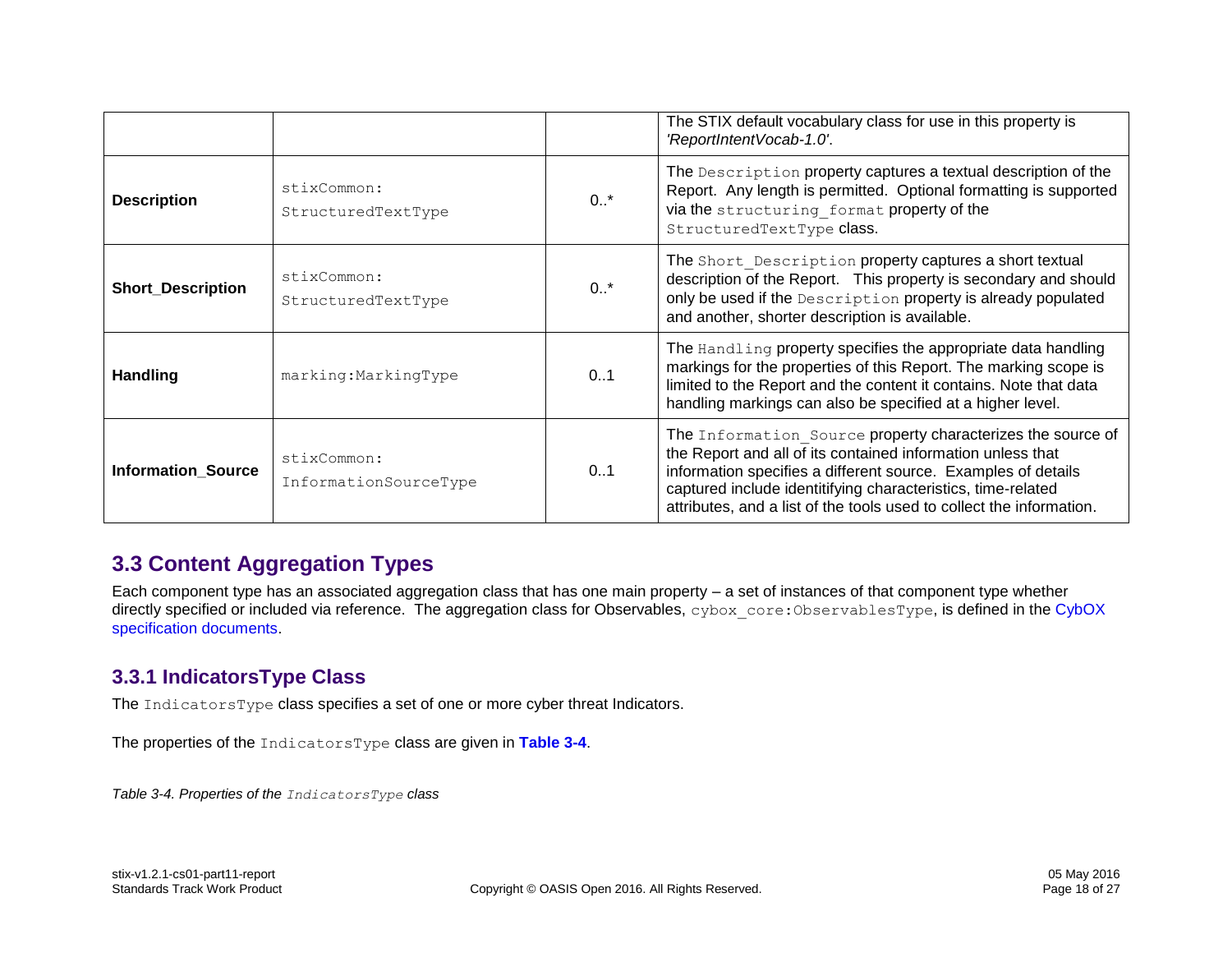|                           |                                      |        | The STIX default vocabulary class for use in this property is<br>'ReportIntentVocab-1.0'.                                                                                                                                                                                                                                           |
|---------------------------|--------------------------------------|--------|-------------------------------------------------------------------------------------------------------------------------------------------------------------------------------------------------------------------------------------------------------------------------------------------------------------------------------------|
| <b>Description</b>        | stixCommon:<br>StructuredTextType    | $0.1*$ | The Description property captures a textual description of the<br>Report. Any length is permitted. Optional formatting is supported<br>via the structuring format property of the<br>StructuredTextType class.                                                                                                                      |
| <b>Short_Description</b>  | stixCommon:<br>StructuredTextType    | $0.1*$ | The Short Description property captures a short textual<br>description of the Report. This property is secondary and should<br>only be used if the Description property is already populated<br>and another, shorter description is available.                                                                                      |
| <b>Handling</b>           | marking: Marking Type                | 0.1    | The Handling property specifies the appropriate data handling<br>markings for the properties of this Report. The marking scope is<br>limited to the Report and the content it contains. Note that data<br>handling markings can also be specified at a higher level.                                                                |
| <b>Information Source</b> | stixCommon:<br>InformationSourceType | 0.1    | The Information Source property characterizes the source of<br>the Report and all of its contained information unless that<br>information specifies a different source. Examples of details<br>captured include identitifying characteristics, time-related<br>attributes, and a list of the tools used to collect the information. |

## <span id="page-17-2"></span>**3.3 Content Aggregation Types**

Each component type has an associated aggregation class that has one main property – a set of instances of that component type whether directly specified or included via reference. The aggregation class for Observables, cybox core:ObservablesType, is defined in the CybOX [specification documents.](#page-1-1)

### **3.3.1 IndicatorsType Class**

The IndicatorsType class specifies a set of one or more cyber threat Indicators.

The properties of the IndicatorsType class are given in **[Table 3-4](#page-17-3)**.

<span id="page-17-3"></span><span id="page-17-1"></span><span id="page-17-0"></span>*Table 3-4. Properties of the IndicatorsType class*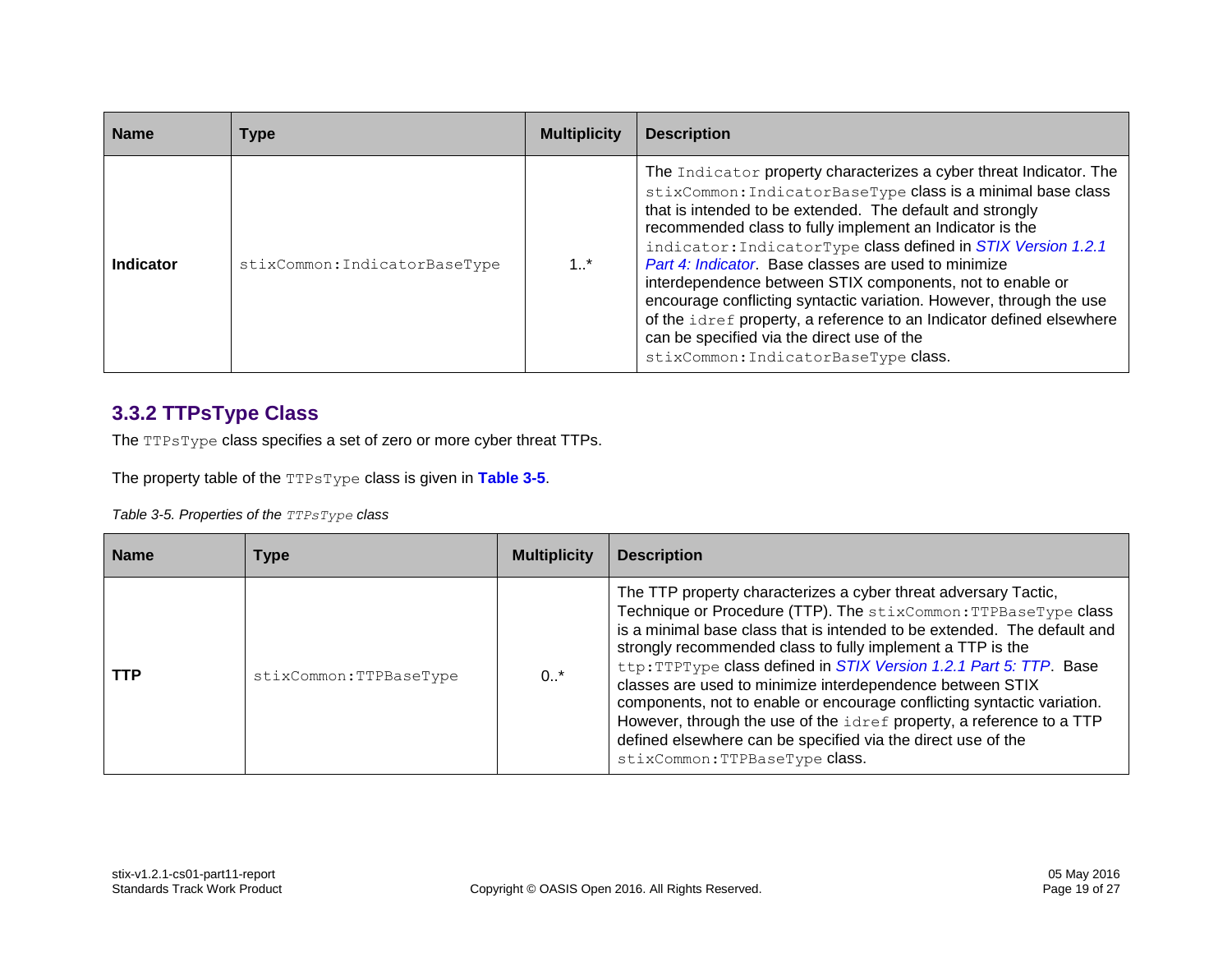| <b>Name</b> | Type                          | <b>Multiplicity</b> | <b>Description</b>                                                                                                                                                                                                                                                                                                                                                                                                                                                                                                                                                                                                                                                                   |
|-------------|-------------------------------|---------------------|--------------------------------------------------------------------------------------------------------------------------------------------------------------------------------------------------------------------------------------------------------------------------------------------------------------------------------------------------------------------------------------------------------------------------------------------------------------------------------------------------------------------------------------------------------------------------------------------------------------------------------------------------------------------------------------|
| Indicator   | stixCommon: IndicatorBaseType | 1.1                 | The Indicator property characterizes a cyber threat Indicator. The<br>stixCommon: IndicatorBaseType class is a minimal base class<br>that is intended to be extended. The default and strongly<br>recommended class to fully implement an Indicator is the<br>indicator: IndicatorType class defined in STIX Version 1.2.1<br>Part 4: Indicator. Base classes are used to minimize<br>interdependence between STIX components, not to enable or<br>encourage conflicting syntactic variation. However, through the use<br>of the idref property, a reference to an Indicator defined elsewhere<br>can be specified via the direct use of the<br>stixCommon: IndicatorBaseType class. |

### **3.3.2 TTPsType Class**

The TTPsType class specifies a set of zero or more cyber threat TTPs.

The property table of the TTPsType class is given in **[Table 3-5](#page-18-1)**.

<span id="page-18-1"></span>*Table 3-5. Properties of the TTPsType class*

<span id="page-18-0"></span>

| <b>Name</b> | Type                   | <b>Multiplicity</b> | <b>Description</b>                                                                                                                                                                                                                                                                                                                                                                                                                                                                                                                                                                                                                                                   |
|-------------|------------------------|---------------------|----------------------------------------------------------------------------------------------------------------------------------------------------------------------------------------------------------------------------------------------------------------------------------------------------------------------------------------------------------------------------------------------------------------------------------------------------------------------------------------------------------------------------------------------------------------------------------------------------------------------------------------------------------------------|
| <b>TTP</b>  | stixCommon:TTPBaseType | 0.7                 | The TTP property characterizes a cyber threat adversary Tactic,<br>Technique or Procedure (TTP). The stixCommon: TTPBaseType class<br>is a minimal base class that is intended to be extended. The default and<br>strongly recommended class to fully implement a TTP is the<br>ttp: TTPType class defined in STIX Version 1.2.1 Part 5: TTP. Base<br>classes are used to minimize interdependence between STIX<br>components, not to enable or encourage conflicting syntactic variation.<br>However, through the use of the idref property, a reference to a TTP<br>defined elsewhere can be specified via the direct use of the<br>stixCommon: TTPBaseType class. |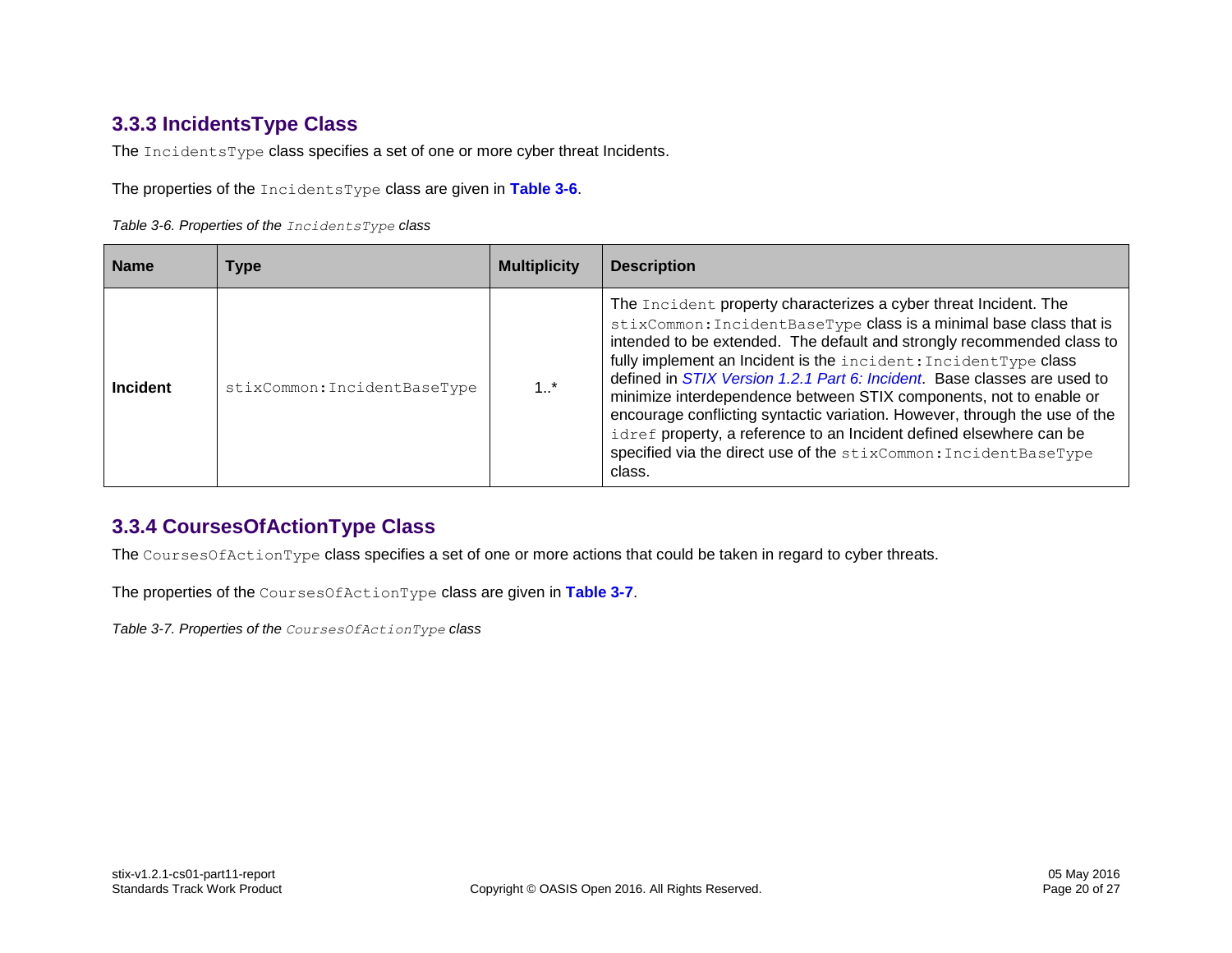### **3.3.3 IncidentsType Class**

The IncidentsType class specifies a set of one or more cyber threat Incidents.

The properties of the IncidentsType class are given in **[Table 3-6](#page-19-2)**.

<span id="page-19-2"></span>*Table 3-6. Properties of the IncidentsType class*

| <b>Name</b>     | <b>Type</b>                  | <b>Multiplicity</b> | <b>Description</b>                                                                                                                                                                                                                                                                                                                                                                                                                                                                                                                                                                                                                                                               |
|-----------------|------------------------------|---------------------|----------------------------------------------------------------------------------------------------------------------------------------------------------------------------------------------------------------------------------------------------------------------------------------------------------------------------------------------------------------------------------------------------------------------------------------------------------------------------------------------------------------------------------------------------------------------------------------------------------------------------------------------------------------------------------|
| <b>Incident</b> | stixCommon: IncidentBaseType | 1.1                 | The Incident property characterizes a cyber threat Incident. The<br>stixCommon: IncidentBaseType class is a minimal base class that is<br>intended to be extended. The default and strongly recommended class to<br>fully implement an Incident is the incident: IncidentType class<br>defined in <i>STIX Version 1.2.1 Part 6: Incident</i> . Base classes are used to<br>minimize interdependence between STIX components, not to enable or<br>encourage conflicting syntactic variation. However, through the use of the<br>idref property, a reference to an Incident defined elsewhere can be<br>specified via the direct use of the stixCommon: IncidentBaseType<br>class. |

### <span id="page-19-0"></span>**3.3.4 CoursesOfActionType Class**

The CoursesOfActionType class specifies a set of one or more actions that could be taken in regard to cyber threats.

The properties of the CoursesOfActionType class are given in **[Table 3-7](#page-19-3)**.

<span id="page-19-3"></span><span id="page-19-1"></span>*Table 3-7. Properties of the CoursesOfActionType class*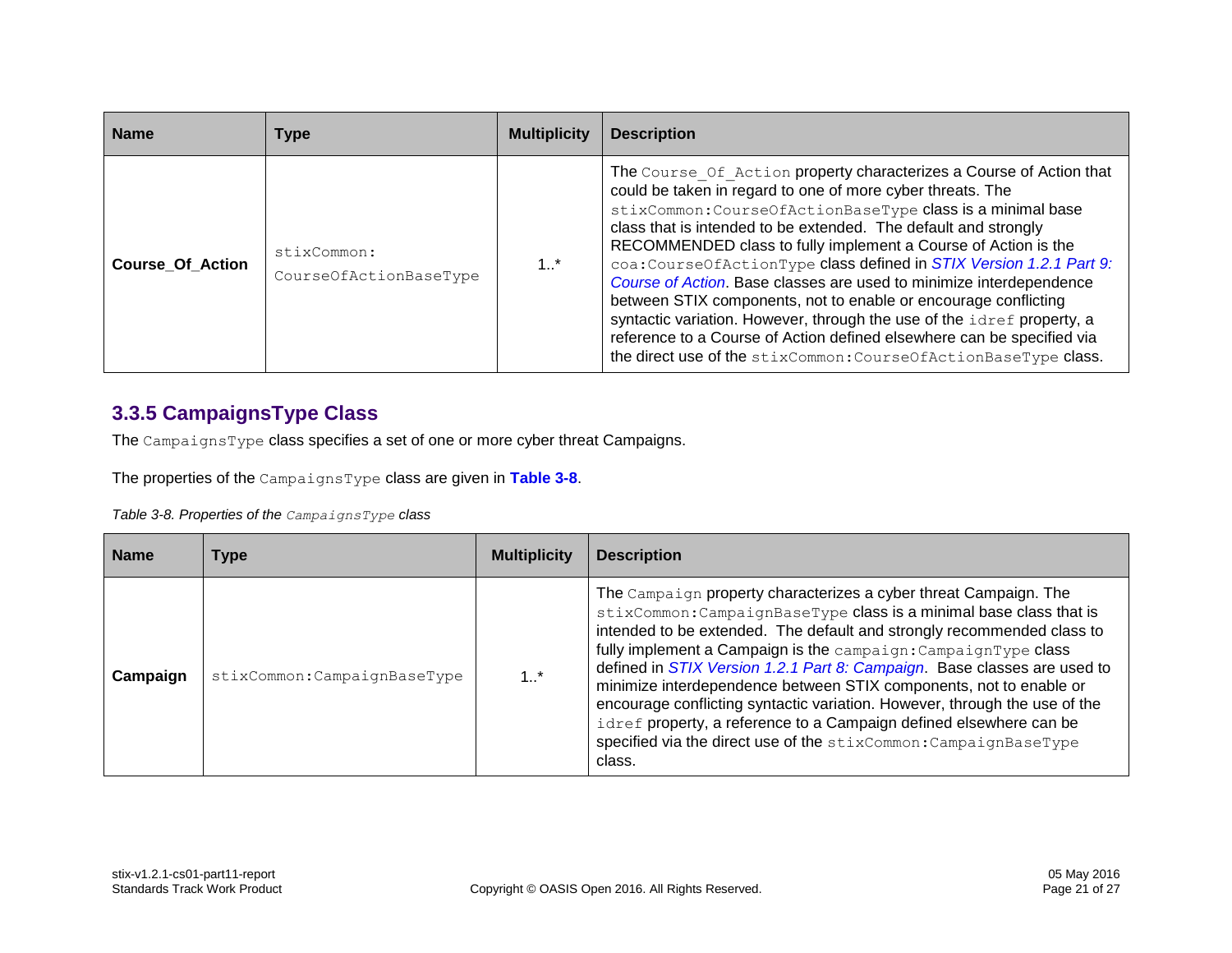| <b>Name</b>             | Type                                  | <b>Multiplicity</b> | <b>Description</b>                                                                                                                                                                                                                                                                                                                                                                                                                                                                                                                                                                                                                                                                                                                                                           |
|-------------------------|---------------------------------------|---------------------|------------------------------------------------------------------------------------------------------------------------------------------------------------------------------------------------------------------------------------------------------------------------------------------------------------------------------------------------------------------------------------------------------------------------------------------------------------------------------------------------------------------------------------------------------------------------------------------------------------------------------------------------------------------------------------------------------------------------------------------------------------------------------|
| <b>Course Of Action</b> | stixCommon:<br>CourseOfActionBaseType | $1.1$ *             | The Course Of Action property characterizes a Course of Action that<br>could be taken in regard to one of more cyber threats. The<br>stixCommon: CourseOfActionBaseType class is a minimal base<br>class that is intended to be extended. The default and strongly<br>RECOMMENDED class to fully implement a Course of Action is the<br>coa: CourseOfActionType class defined in STIX Version 1.2.1 Part 9:<br>Course of Action. Base classes are used to minimize interdependence<br>between STIX components, not to enable or encourage conflicting<br>syntactic variation. However, through the use of the idref property, a<br>reference to a Course of Action defined elsewhere can be specified via<br>the direct use of the stixCommon: CourseOfActionBaseType class. |

### **3.3.5 CampaignsType Class**

The CampaignsType class specifies a set of one or more cyber threat Campaigns.

The properties of the CampaignsType class are given in **[Table 3-8](#page-20-1)**.

<span id="page-20-1"></span>*Table 3-8. Properties of the CampaignsType class*

<span id="page-20-0"></span>

| <b>Name</b> | <b>Type</b>                  | <b>Multiplicity</b> | <b>Description</b>                                                                                                                                                                                                                                                                                                                                                                                                                                                                                                                                                                                                                                                     |
|-------------|------------------------------|---------------------|------------------------------------------------------------------------------------------------------------------------------------------------------------------------------------------------------------------------------------------------------------------------------------------------------------------------------------------------------------------------------------------------------------------------------------------------------------------------------------------------------------------------------------------------------------------------------------------------------------------------------------------------------------------------|
| Campaign    | stixCommon: CampaignBaseType | $1_{}$ *            | The Campaign property characterizes a cyber threat Campaign. The<br>stixCommon: CampaignBaseType class is a minimal base class that is<br>intended to be extended. The default and strongly recommended class to<br>fully implement a Campaign is the campaign: CampaignType class<br>defined in STIX Version 1.2.1 Part 8: Campaign. Base classes are used to<br>minimize interdependence between STIX components, not to enable or<br>encourage conflicting syntactic variation. However, through the use of the<br>idref property, a reference to a Campaign defined elsewhere can be<br>specified via the direct use of the stixCommon: CampaignBaseType<br>class. |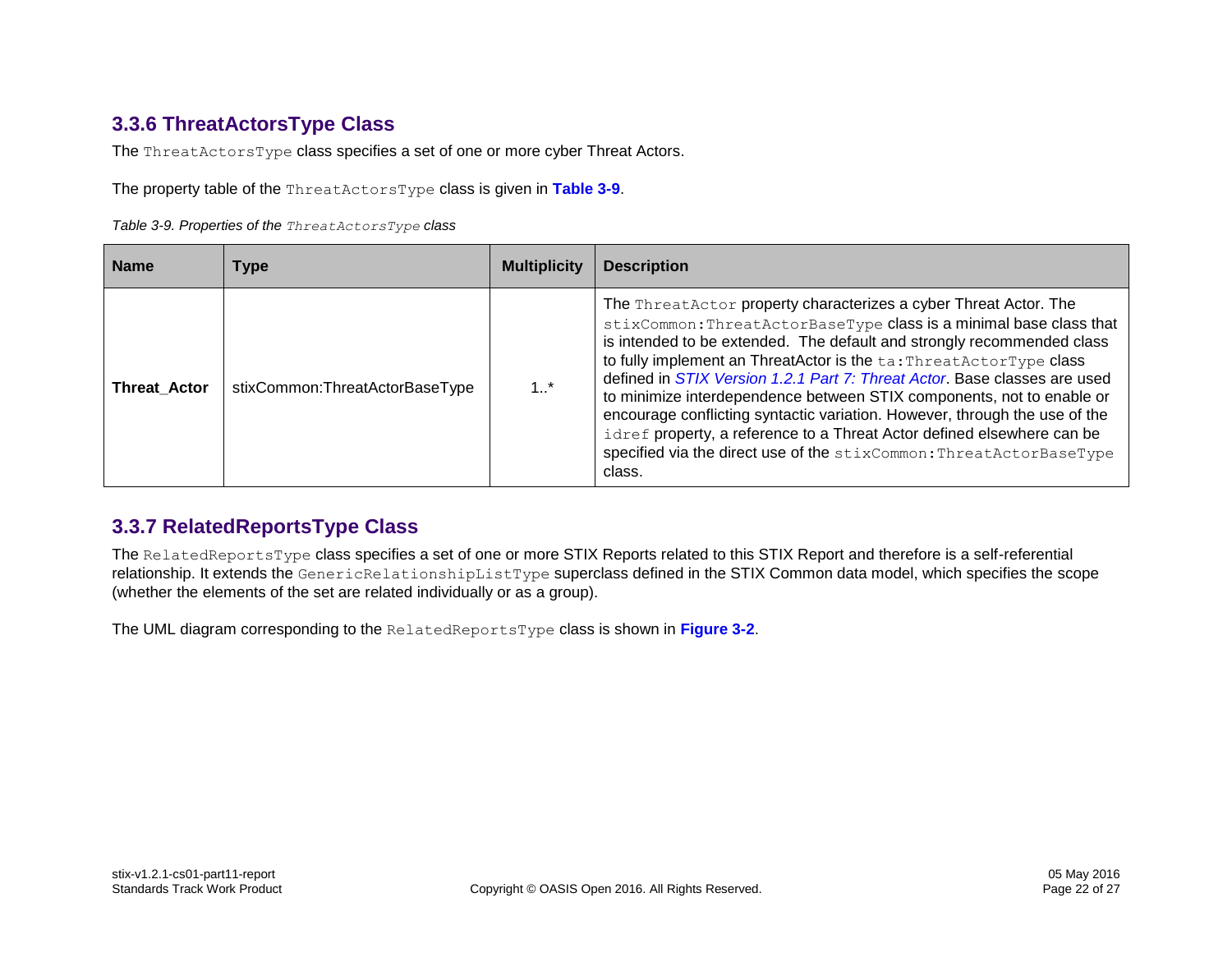### **3.3.6 ThreatActorsType Class**

The ThreatActorsType class specifies a set of one or more cyber Threat Actors.

The property table of the ThreatActorsType class is given in **[Table 3-9](#page-21-2)**.

<span id="page-21-2"></span>*Table 3-9. Properties of the ThreatActorsType class*

| <b>Name</b>         | Type                           | <b>Multiplicity</b> | <b>Description</b>                                                                                                                                                                                                                                                                                                                                                                                                                                                                                                                                                                                                                                                                    |
|---------------------|--------------------------------|---------------------|---------------------------------------------------------------------------------------------------------------------------------------------------------------------------------------------------------------------------------------------------------------------------------------------------------------------------------------------------------------------------------------------------------------------------------------------------------------------------------------------------------------------------------------------------------------------------------------------------------------------------------------------------------------------------------------|
| <b>Threat Actor</b> | stixCommon:ThreatActorBaseType | 1.1                 | The ThreatActor property characterizes a cyber Threat Actor. The<br>stixCommon: ThreatActorBaseType class is a minimal base class that<br>is intended to be extended. The default and strongly recommended class<br>to fully implement an ThreatActor is the ta: ThreatActorType class<br>defined in STIX Version 1.2.1 Part 7: Threat Actor. Base classes are used<br>to minimize interdependence between STIX components, not to enable or<br>encourage conflicting syntactic variation. However, through the use of the<br>idref property, a reference to a Threat Actor defined elsewhere can be<br>specified via the direct use of the stixCommon: ThreatActorBaseType<br>class. |

### <span id="page-21-0"></span>**3.3.7 RelatedReportsType Class**

The RelatedReportsType class specifies a set of one or more STIX Reports related to this STIX Report and therefore is a self-referential relationship. It extends the GenericRelationshipListType superclass defined in the STIX Common data model, which specifies the scope (whether the elements of the set are related individually or as a group).

<span id="page-21-1"></span>The UML diagram corresponding to the RelatedReportsType class is shown in **[Figure 3-2](#page-22-0)**.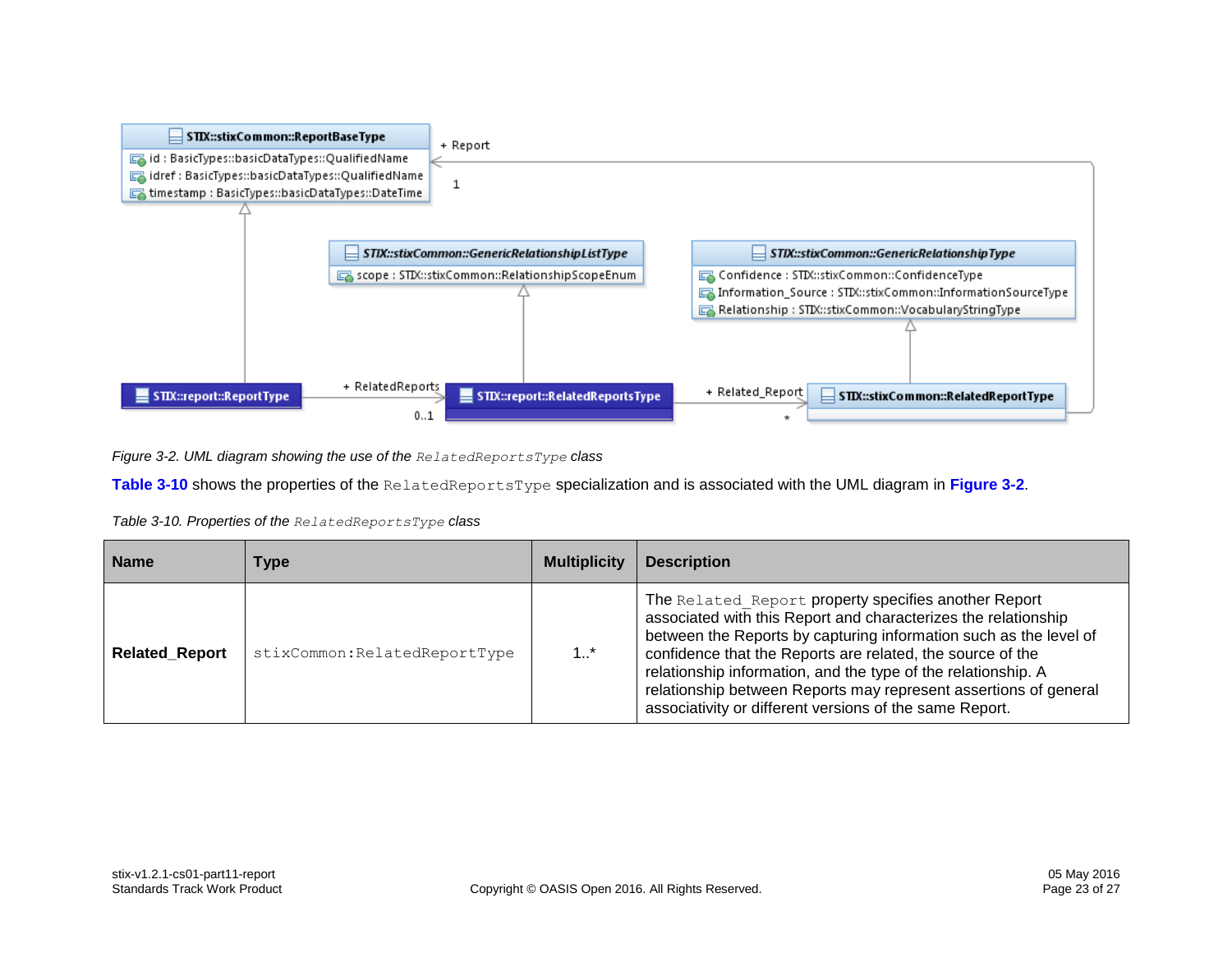

<span id="page-22-0"></span>*Figure 3-2. UML diagram showing the use of the RelatedReportsType class*

**[Table 3-10](#page-22-1)** shows the properties of the RelatedReportsType specialization and is associated with the UML diagram in **[Figure 3-2](#page-22-0)**.

<span id="page-22-1"></span>

| Table 3-10. Properties of the RelatedReportsType class |  |
|--------------------------------------------------------|--|
|--------------------------------------------------------|--|

| <b>Name</b>           | Type                          | <b>Multiplicity</b> | <b>Description</b>                                                                                                                                                                                                                                                                                                                                                                                                                                        |
|-----------------------|-------------------------------|---------------------|-----------------------------------------------------------------------------------------------------------------------------------------------------------------------------------------------------------------------------------------------------------------------------------------------------------------------------------------------------------------------------------------------------------------------------------------------------------|
| <b>Related Report</b> | stixCommon: RelatedReportType | $1_{}^*$            | The Related Report property specifies another Report<br>associated with this Report and characterizes the relationship<br>between the Reports by capturing information such as the level of<br>confidence that the Reports are related, the source of the<br>relationship information, and the type of the relationship. A<br>relationship between Reports may represent assertions of general<br>associativity or different versions of the same Report. |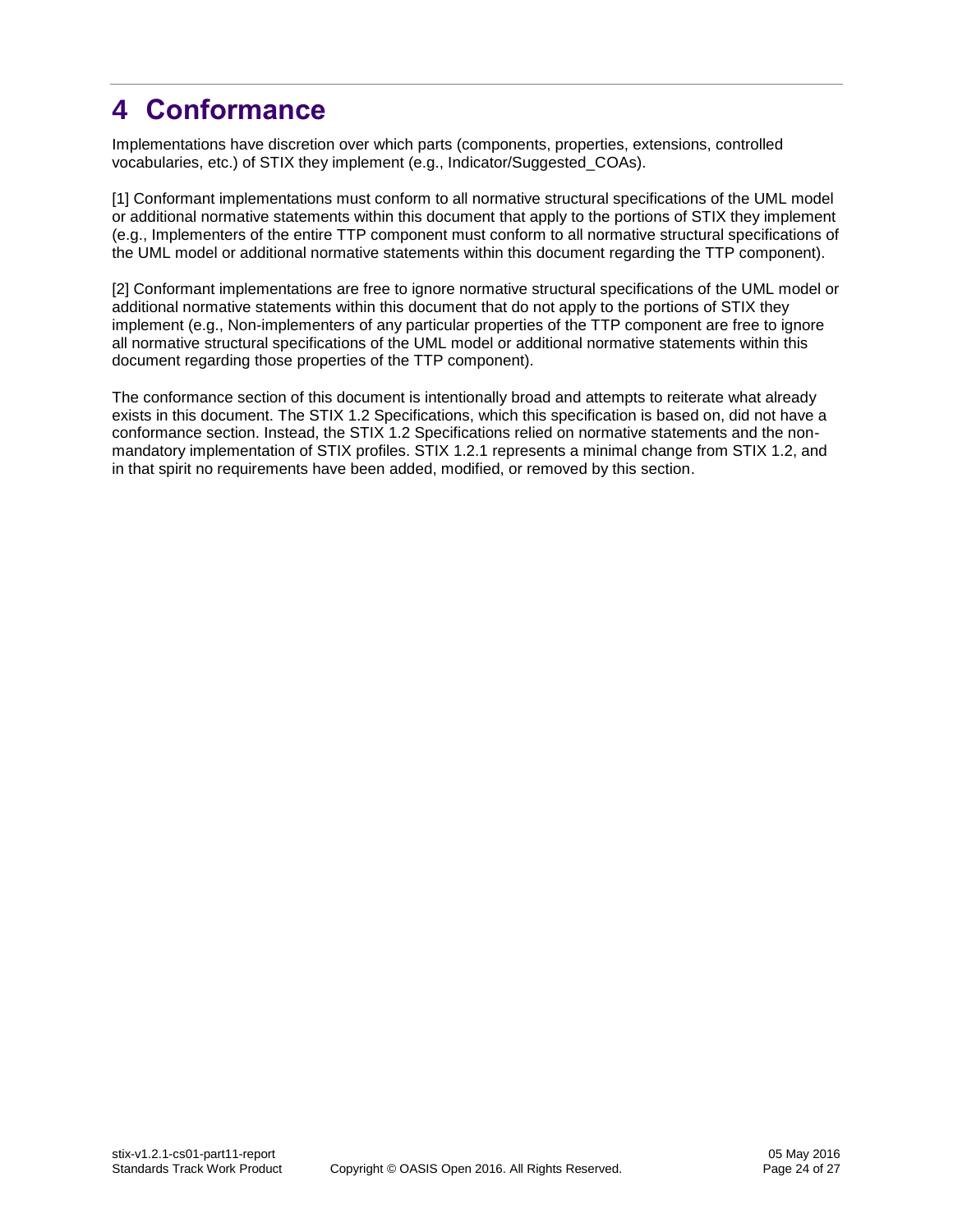# <span id="page-23-0"></span>**4 Conformance**

Implementations have discretion over which parts (components, properties, extensions, controlled vocabularies, etc.) of STIX they implement (e.g., Indicator/Suggested\_COAs).

[1] Conformant implementations must conform to all normative structural specifications of the UML model or additional normative statements within this document that apply to the portions of STIX they implement (e.g., Implementers of the entire TTP component must conform to all normative structural specifications of the UML model or additional normative statements within this document regarding the TTP component).

[2] Conformant implementations are free to ignore normative structural specifications of the UML model or additional normative statements within this document that do not apply to the portions of STIX they implement (e.g., Non-implementers of any particular properties of the TTP component are free to ignore all normative structural specifications of the UML model or additional normative statements within this document regarding those properties of the TTP component).

The conformance section of this document is intentionally broad and attempts to reiterate what already exists in this document. The STIX 1.2 Specifications, which this specification is based on, did not have a conformance section. Instead, the STIX 1.2 Specifications relied on normative statements and the nonmandatory implementation of STIX profiles. STIX 1.2.1 represents a minimal change from STIX 1.2, and in that spirit no requirements have been added, modified, or removed by this section.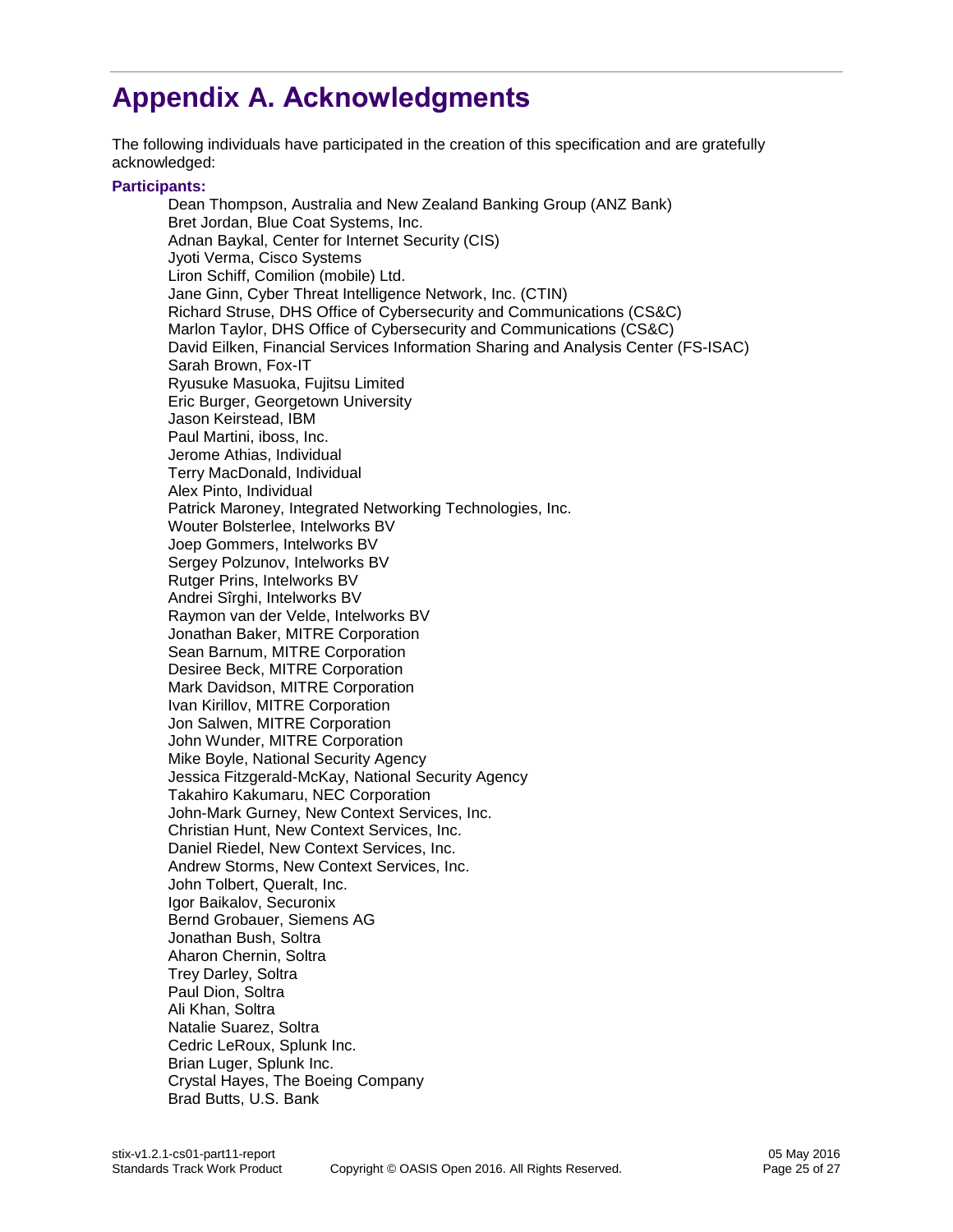# <span id="page-24-0"></span>**Appendix A. Acknowledgments**

The following individuals have participated in the creation of this specification and are gratefully acknowledged:

#### **Participants:**

Dean Thompson, Australia and New Zealand Banking Group (ANZ Bank) Bret Jordan, Blue Coat Systems, Inc. Adnan Baykal, Center for Internet Security (CIS) Jyoti Verma, Cisco Systems Liron Schiff, Comilion (mobile) Ltd. Jane Ginn, Cyber Threat Intelligence Network, Inc. (CTIN) Richard Struse, DHS Office of Cybersecurity and Communications (CS&C) Marlon Taylor, DHS Office of Cybersecurity and Communications (CS&C) David Eilken, Financial Services Information Sharing and Analysis Center (FS-ISAC) Sarah Brown, Fox-IT Ryusuke Masuoka, Fujitsu Limited Eric Burger, Georgetown University Jason Keirstead, IBM Paul Martini, iboss, Inc. Jerome Athias, Individual Terry MacDonald, Individual Alex Pinto, Individual Patrick Maroney, Integrated Networking Technologies, Inc. Wouter Bolsterlee, Intelworks BV Joep Gommers, Intelworks BV Sergey Polzunov, Intelworks BV Rutger Prins, Intelworks BV Andrei Sîrghi, Intelworks BV Raymon van der Velde, Intelworks BV Jonathan Baker, MITRE Corporation Sean Barnum, MITRE Corporation Desiree Beck, MITRE Corporation Mark Davidson, MITRE Corporation Ivan Kirillov, MITRE Corporation Jon Salwen, MITRE Corporation John Wunder, MITRE Corporation Mike Boyle, National Security Agency Jessica Fitzgerald-McKay, National Security Agency Takahiro Kakumaru, NEC Corporation John-Mark Gurney, New Context Services, Inc. Christian Hunt, New Context Services, Inc. Daniel Riedel, New Context Services, Inc. Andrew Storms, New Context Services, Inc. John Tolbert, Queralt, Inc. Igor Baikalov, Securonix Bernd Grobauer, Siemens AG Jonathan Bush, Soltra Aharon Chernin, Soltra Trey Darley, Soltra Paul Dion, Soltra Ali Khan, Soltra Natalie Suarez, Soltra Cedric LeRoux, Splunk Inc. Brian Luger, Splunk Inc. Crystal Hayes, The Boeing Company Brad Butts, U.S. Bank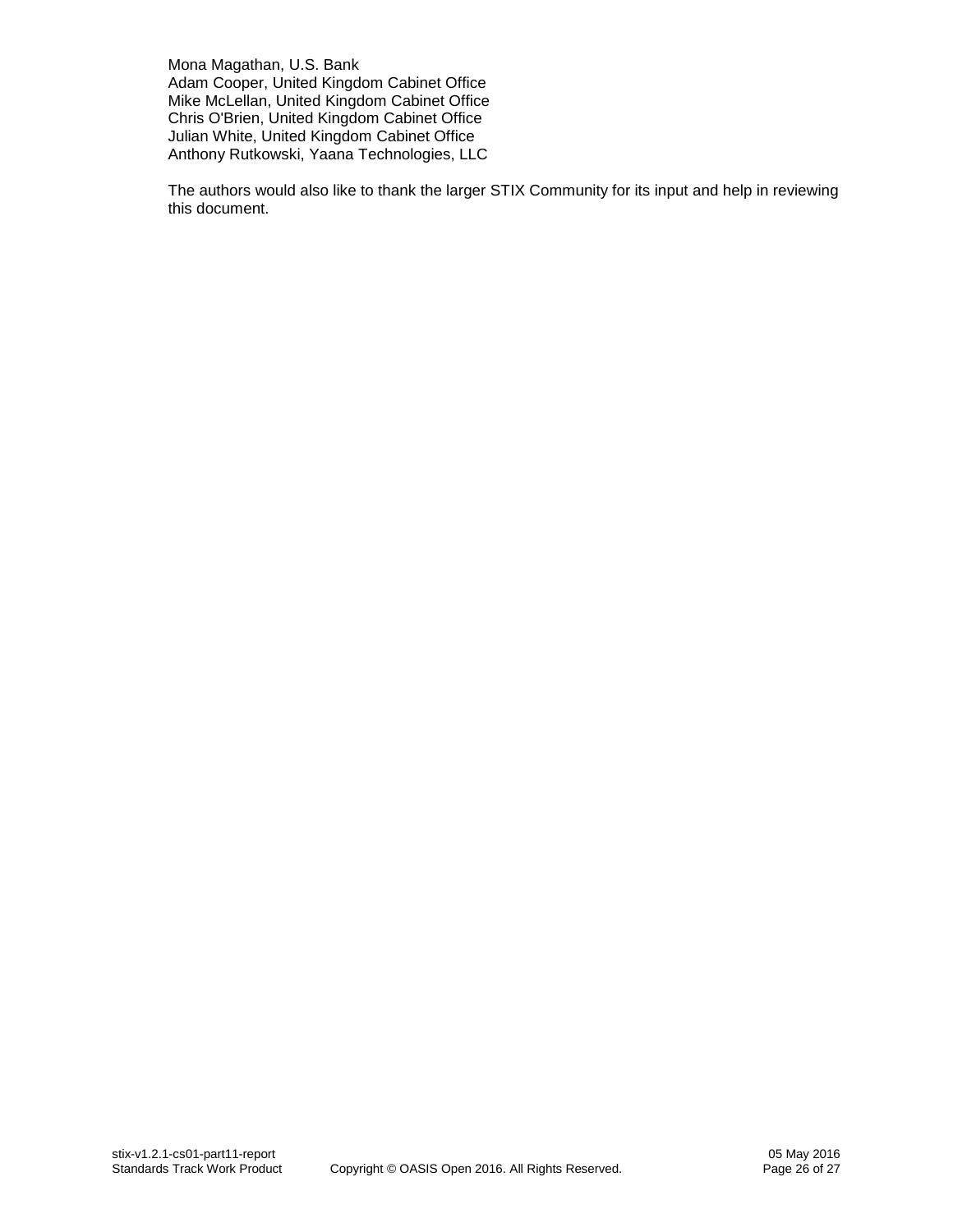Mona Magathan, U.S. Bank Adam Cooper, United Kingdom Cabinet Office Mike McLellan, United Kingdom Cabinet Office Chris O'Brien, United Kingdom Cabinet Office Julian White, United Kingdom Cabinet Office Anthony Rutkowski, Yaana Technologies, LLC

The authors would also like to thank the larger STIX Community for its input and help in reviewing this document.